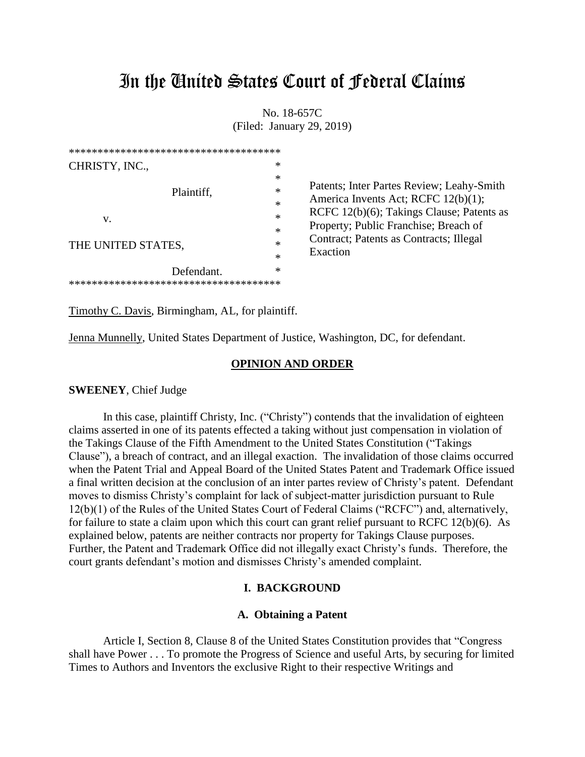# In the United States Court of Federal Claims

No. 18-657C (Filed: January 29, 2019)

| **************************************               |                                                                                                                                                                        |
|------------------------------------------------------|------------------------------------------------------------------------------------------------------------------------------------------------------------------------|
| CHRISTY, INC.,                                       | ∗                                                                                                                                                                      |
| Plaintiff,<br>v.                                     | Patents; Inter Partes Review; Leahy-Smith<br>America Invents Act; RCFC 12(b)(1);<br>RCFC 12(b)(6); Takings Clause; Patents as<br>Property; Public Franchise; Breach of |
| THE UNITED STATES,                                   | Contract; Patents as Contracts; Illegal<br>$\ast$<br>Exaction<br>$\ast$                                                                                                |
| Defendant.<br>************************************** | ∗                                                                                                                                                                      |

Timothy C. Davis, Birmingham, AL, for plaintiff.

Jenna Munnelly, United States Department of Justice, Washington, DC, for defendant.

### **OPINION AND ORDER**

### **SWEENEY**, Chief Judge

In this case, plaintiff Christy, Inc. ("Christy") contends that the invalidation of eighteen claims asserted in one of its patents effected a taking without just compensation in violation of the Takings Clause of the Fifth Amendment to the United States Constitution ("Takings Clause"), a breach of contract, and an illegal exaction. The invalidation of those claims occurred when the Patent Trial and Appeal Board of the United States Patent and Trademark Office issued a final written decision at the conclusion of an inter partes review of Christy's patent. Defendant moves to dismiss Christy's complaint for lack of subject-matter jurisdiction pursuant to Rule 12(b)(1) of the Rules of the United States Court of Federal Claims ("RCFC") and, alternatively, for failure to state a claim upon which this court can grant relief pursuant to RCFC 12(b)(6). As explained below, patents are neither contracts nor property for Takings Clause purposes. Further, the Patent and Trademark Office did not illegally exact Christy's funds. Therefore, the court grants defendant's motion and dismisses Christy's amended complaint.

### **I. BACKGROUND**

### **A. Obtaining a Patent**

Article I, Section 8, Clause 8 of the United States Constitution provides that "Congress shall have Power . . . To promote the Progress of Science and useful Arts, by securing for limited Times to Authors and Inventors the exclusive Right to their respective Writings and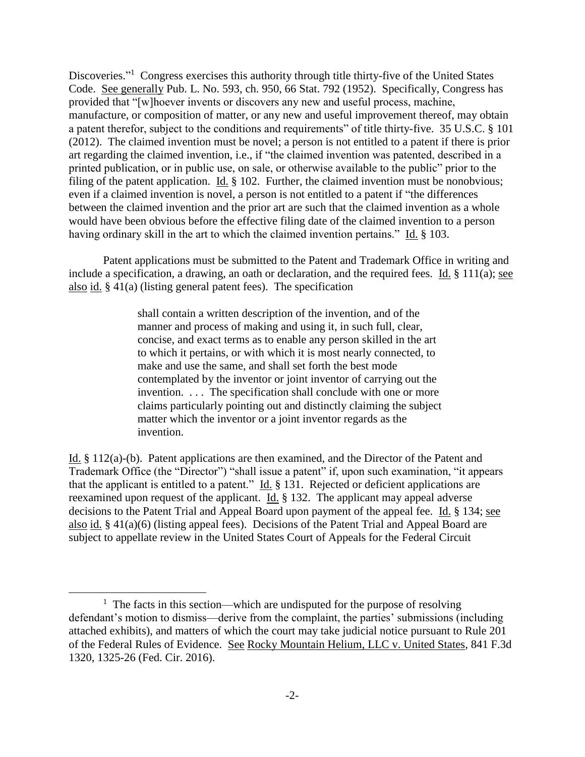Discoveries."<sup>1</sup> Congress exercises this authority through title thirty-five of the United States Code. See generally Pub. L. No. 593, ch. 950, 66 Stat. 792 (1952). Specifically, Congress has provided that "[w]hoever invents or discovers any new and useful process, machine, manufacture, or composition of matter, or any new and useful improvement thereof, may obtain a patent therefor, subject to the conditions and requirements" of title thirty-five. 35 U.S.C. § 101 (2012). The claimed invention must be novel; a person is not entitled to a patent if there is prior art regarding the claimed invention, i.e., if "the claimed invention was patented, described in a printed publication, or in public use, on sale, or otherwise available to the public" prior to the filing of the patent application. Id. § 102. Further, the claimed invention must be nonobvious; even if a claimed invention is novel, a person is not entitled to a patent if "the differences between the claimed invention and the prior art are such that the claimed invention as a whole would have been obvious before the effective filing date of the claimed invention to a person having ordinary skill in the art to which the claimed invention pertains." Id. § 103.

Patent applications must be submitted to the Patent and Trademark Office in writing and include a specification, a drawing, an oath or declaration, and the required fees. Id. § 111(a); see also id. § 41(a) (listing general patent fees). The specification

> shall contain a written description of the invention, and of the manner and process of making and using it, in such full, clear, concise, and exact terms as to enable any person skilled in the art to which it pertains, or with which it is most nearly connected, to make and use the same, and shall set forth the best mode contemplated by the inventor or joint inventor of carrying out the invention. ... The specification shall conclude with one or more claims particularly pointing out and distinctly claiming the subject matter which the inventor or a joint inventor regards as the invention.

Id. § 112(a)-(b). Patent applications are then examined, and the Director of the Patent and Trademark Office (the "Director") "shall issue a patent" if, upon such examination, "it appears that the applicant is entitled to a patent." Id. § 131. Rejected or deficient applications are reexamined upon request of the applicant. Id. § 132. The applicant may appeal adverse decisions to the Patent Trial and Appeal Board upon payment of the appeal fee. Id. § 134; see also id. § 41(a)(6) (listing appeal fees). Decisions of the Patent Trial and Appeal Board are subject to appellate review in the United States Court of Appeals for the Federal Circuit

<sup>&</sup>lt;sup>1</sup> The facts in this section—which are undisputed for the purpose of resolving defendant's motion to dismiss—derive from the complaint, the parties' submissions (including attached exhibits), and matters of which the court may take judicial notice pursuant to Rule 201 of the Federal Rules of Evidence. See Rocky Mountain Helium, LLC v. United States, 841 F.3d 1320, 1325-26 (Fed. Cir. 2016).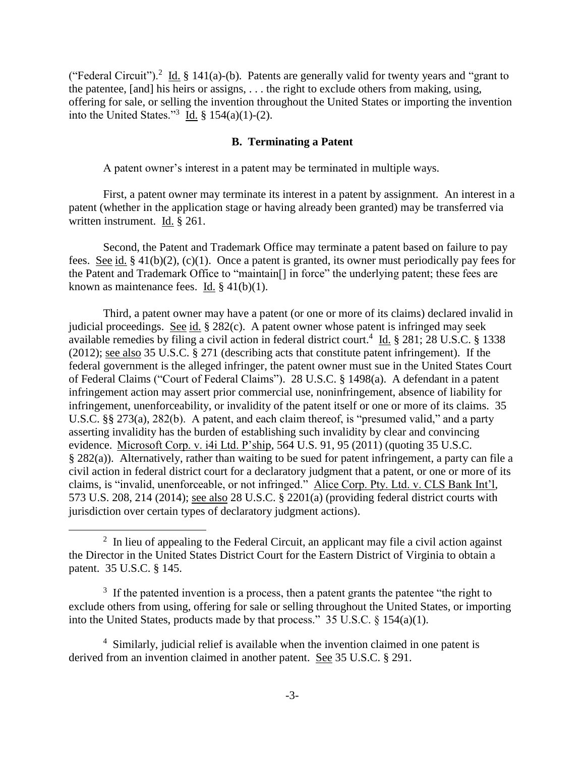("Federal Circuit").<sup>2</sup> Id. § 141(a)-(b). Patents are generally valid for twenty years and "grant to the patentee, [and] his heirs or assigns, . . . the right to exclude others from making, using, offering for sale, or selling the invention throughout the United States or importing the invention into the United States."<sup>3</sup> Id.  $\frac{8}{3}$  154(a)(1)-(2).

# **B. Terminating a Patent**

A patent owner's interest in a patent may be terminated in multiple ways.

First, a patent owner may terminate its interest in a patent by assignment. An interest in a patent (whether in the application stage or having already been granted) may be transferred via written instrument. Id. § 261.

Second, the Patent and Trademark Office may terminate a patent based on failure to pay fees. See id. § 41(b)(2), (c)(1). Once a patent is granted, its owner must periodically pay fees for the Patent and Trademark Office to "maintain[] in force" the underlying patent; these fees are known as maintenance fees. Id. § 41(b)(1).

Third, a patent owner may have a patent (or one or more of its claims) declared invalid in judicial proceedings. See id. § 282(c). A patent owner whose patent is infringed may seek available remedies by filing a civil action in federal district court.<sup>4</sup> Id. § 281; 28 U.S.C. § 1338 (2012); see also 35 U.S.C. § 271 (describing acts that constitute patent infringement). If the federal government is the alleged infringer, the patent owner must sue in the United States Court of Federal Claims ("Court of Federal Claims"). 28 U.S.C. § 1498(a). A defendant in a patent infringement action may assert prior commercial use, noninfringement, absence of liability for infringement, unenforceability, or invalidity of the patent itself or one or more of its claims. 35 U.S.C. §§ 273(a), 282(b). A patent, and each claim thereof, is "presumed valid," and a party asserting invalidity has the burden of establishing such invalidity by clear and convincing evidence. Microsoft Corp. v. i4i Ltd. P'ship, 564 U.S. 91, 95 (2011) (quoting 35 U.S.C. § 282(a)). Alternatively, rather than waiting to be sued for patent infringement, a party can file a civil action in federal district court for a declaratory judgment that a patent, or one or more of its claims, is "invalid, unenforceable, or not infringed." Alice Corp. Pty. Ltd. v. CLS Bank Int'l, 573 U.S. 208, 214 (2014); see also 28 U.S.C. § 2201(a) (providing federal district courts with jurisdiction over certain types of declaratory judgment actions).

 $\overline{a}$ 

 $3\,$  If the patented invention is a process, then a patent grants the patentee "the right to exclude others from using, offering for sale or selling throughout the United States, or importing into the United States, products made by that process." 35 U.S.C. § 154(a)(1).

 $2 \text{ In lieu of appealing to the Federal Circuit, an application may file a civil action against }$ the Director in the United States District Court for the Eastern District of Virginia to obtain a patent. 35 U.S.C. § 145.

<sup>&</sup>lt;sup>4</sup> Similarly, judicial relief is available when the invention claimed in one patent is derived from an invention claimed in another patent. See 35 U.S.C. § 291.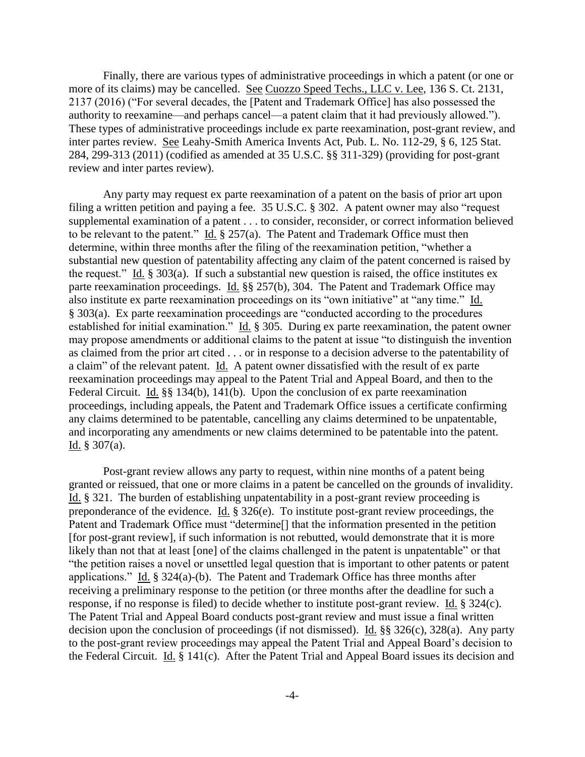Finally, there are various types of administrative proceedings in which a patent (or one or more of its claims) may be cancelled. See Cuozzo Speed Techs., LLC v. Lee, 136 S. Ct. 2131, 2137 (2016) ("For several decades, the [Patent and Trademark Office] has also possessed the authority to reexamine—and perhaps cancel—a patent claim that it had previously allowed."). These types of administrative proceedings include ex parte reexamination, post-grant review, and inter partes review. See Leahy-Smith America Invents Act, Pub. L. No. 112-29, § 6, 125 Stat. 284, 299-313 (2011) (codified as amended at 35 U.S.C. §§ 311-329) (providing for post-grant review and inter partes review).

Any party may request ex parte reexamination of a patent on the basis of prior art upon filing a written petition and paying a fee. 35 U.S.C. § 302. A patent owner may also "request supplemental examination of a patent . . . to consider, reconsider, or correct information believed to be relevant to the patent." Id. § 257(a). The Patent and Trademark Office must then determine, within three months after the filing of the reexamination petition, "whether a substantial new question of patentability affecting any claim of the patent concerned is raised by the request." Id.  $\S 303(a)$ . If such a substantial new question is raised, the office institutes ex parte reexamination proceedings. Id. §§ 257(b), 304. The Patent and Trademark Office may also institute ex parte reexamination proceedings on its "own initiative" at "any time." Id. § 303(a). Ex parte reexamination proceedings are "conducted according to the procedures established for initial examination." Id. § 305. During ex parte reexamination, the patent owner may propose amendments or additional claims to the patent at issue "to distinguish the invention as claimed from the prior art cited . . . or in response to a decision adverse to the patentability of a claim" of the relevant patent. Id. A patent owner dissatisfied with the result of ex parte reexamination proceedings may appeal to the Patent Trial and Appeal Board, and then to the Federal Circuit. Id. §§ 134(b), 141(b). Upon the conclusion of ex parte reexamination proceedings, including appeals, the Patent and Trademark Office issues a certificate confirming any claims determined to be patentable, cancelling any claims determined to be unpatentable, and incorporating any amendments or new claims determined to be patentable into the patent. Id. § 307(a).

Post-grant review allows any party to request, within nine months of a patent being granted or reissued, that one or more claims in a patent be cancelled on the grounds of invalidity. Id. § 321. The burden of establishing unpatentability in a post-grant review proceeding is preponderance of the evidence. Id.  $\S 326(e)$ . To institute post-grant review proceedings, the Patent and Trademark Office must "determine[] that the information presented in the petition [for post-grant review], if such information is not rebutted, would demonstrate that it is more likely than not that at least [one] of the claims challenged in the patent is unpatentable" or that "the petition raises a novel or unsettled legal question that is important to other patents or patent applications." Id. § 324(a)-(b). The Patent and Trademark Office has three months after receiving a preliminary response to the petition (or three months after the deadline for such a response, if no response is filed) to decide whether to institute post-grant review. Id. § 324(c). The Patent Trial and Appeal Board conducts post-grant review and must issue a final written decision upon the conclusion of proceedings (if not dismissed). Id. §§ 326(c), 328(a). Any party to the post-grant review proceedings may appeal the Patent Trial and Appeal Board's decision to the Federal Circuit. Id. § 141(c). After the Patent Trial and Appeal Board issues its decision and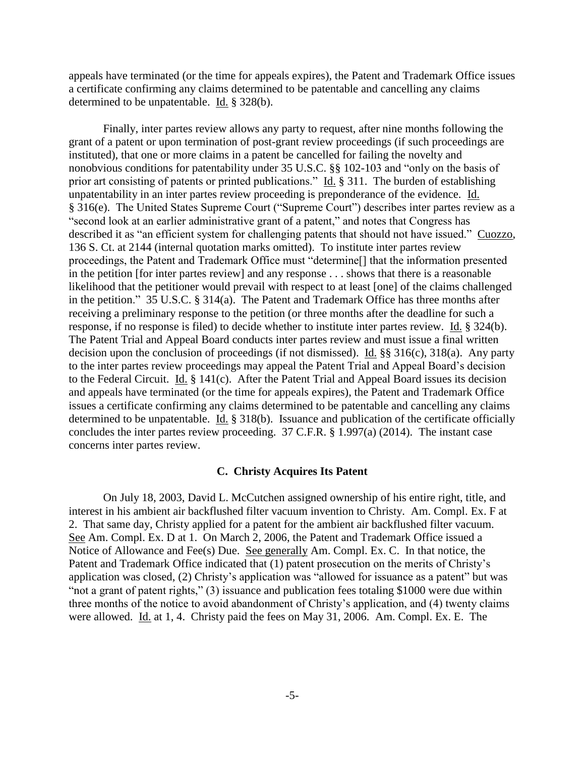appeals have terminated (or the time for appeals expires), the Patent and Trademark Office issues a certificate confirming any claims determined to be patentable and cancelling any claims determined to be unpatentable. Id. § 328(b).

Finally, inter partes review allows any party to request, after nine months following the grant of a patent or upon termination of post-grant review proceedings (if such proceedings are instituted), that one or more claims in a patent be cancelled for failing the novelty and nonobvious conditions for patentability under 35 U.S.C. §§ 102-103 and "only on the basis of prior art consisting of patents or printed publications." Id. § 311. The burden of establishing unpatentability in an inter partes review proceeding is preponderance of the evidence. Id. § 316(e). The United States Supreme Court ("Supreme Court") describes inter partes review as a "second look at an earlier administrative grant of a patent," and notes that Congress has described it as "an efficient system for challenging patents that should not have issued." Cuozzo, 136 S. Ct. at 2144 (internal quotation marks omitted). To institute inter partes review proceedings, the Patent and Trademark Office must "determine[] that the information presented in the petition [for inter partes review] and any response . . . shows that there is a reasonable likelihood that the petitioner would prevail with respect to at least [one] of the claims challenged in the petition." 35 U.S.C. § 314(a). The Patent and Trademark Office has three months after receiving a preliminary response to the petition (or three months after the deadline for such a response, if no response is filed) to decide whether to institute inter partes review. Id. § 324(b). The Patent Trial and Appeal Board conducts inter partes review and must issue a final written decision upon the conclusion of proceedings (if not dismissed). Id. §§ 316(c), 318(a). Any party to the inter partes review proceedings may appeal the Patent Trial and Appeal Board's decision to the Federal Circuit. Id. § 141(c). After the Patent Trial and Appeal Board issues its decision and appeals have terminated (or the time for appeals expires), the Patent and Trademark Office issues a certificate confirming any claims determined to be patentable and cancelling any claims determined to be unpatentable. Id. § 318(b). Issuance and publication of the certificate officially concludes the inter partes review proceeding. 37 C.F.R. § 1.997(a) (2014). The instant case concerns inter partes review.

#### **C. Christy Acquires Its Patent**

On July 18, 2003, David L. McCutchen assigned ownership of his entire right, title, and interest in his ambient air backflushed filter vacuum invention to Christy. Am. Compl. Ex. F at 2. That same day, Christy applied for a patent for the ambient air backflushed filter vacuum. See Am. Compl. Ex. D at 1. On March 2, 2006, the Patent and Trademark Office issued a Notice of Allowance and Fee(s) Due. See generally Am. Compl. Ex. C. In that notice, the Patent and Trademark Office indicated that (1) patent prosecution on the merits of Christy's application was closed, (2) Christy's application was "allowed for issuance as a patent" but was "not a grant of patent rights," (3) issuance and publication fees totaling \$1000 were due within three months of the notice to avoid abandonment of Christy's application, and (4) twenty claims were allowed. Id. at 1, 4. Christy paid the fees on May 31, 2006. Am. Compl. Ex. E. The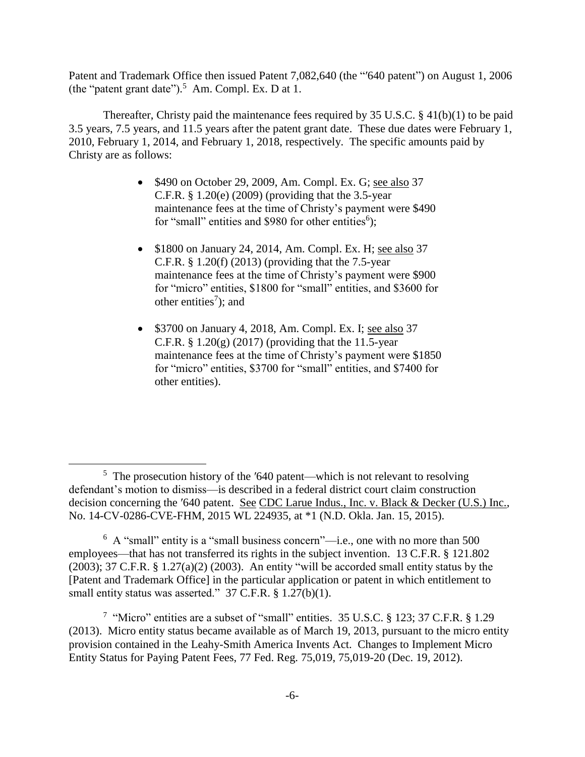Patent and Trademark Office then issued Patent 7,082,640 (the "′640 patent") on August 1, 2006 (the "patent grant date").<sup>5</sup> Am. Compl. Ex. D at 1.

Thereafter, Christy paid the maintenance fees required by 35 U.S.C. § 41(b)(1) to be paid 3.5 years, 7.5 years, and 11.5 years after the patent grant date. These due dates were February 1, 2010, February 1, 2014, and February 1, 2018, respectively. The specific amounts paid by Christy are as follows:

- \$490 on October 29, 2009, Am. Compl. Ex. G; see also 37 C.F.R. § 1.20(e) (2009) (providing that the 3.5-year maintenance fees at the time of Christy's payment were \$490 for "small" entities and \$980 for other entities<sup>6</sup>);
- \$1800 on January 24, 2014, Am. Compl. Ex. H; see also 37 C.F.R. § 1.20(f) (2013) (providing that the 7.5-year maintenance fees at the time of Christy's payment were \$900 for "micro" entities, \$1800 for "small" entities, and \$3600 for other entities<sup>7</sup>); and
- \$3700 on January 4, 2018, Am. Compl. Ex. I; see also 37 C.F.R.  $\S 1.20(g)$  (2017) (providing that the 11.5-year maintenance fees at the time of Christy's payment were \$1850 for "micro" entities, \$3700 for "small" entities, and \$7400 for other entities).

 $\overline{a}$ 

<sup>7</sup> "Micro" entities are a subset of "small" entities. 35 U.S.C. § 123; 37 C.F.R. § 1.29 (2013). Micro entity status became available as of March 19, 2013, pursuant to the micro entity provision contained in the Leahy-Smith America Invents Act. Changes to Implement Micro Entity Status for Paying Patent Fees, 77 Fed. Reg. 75,019, 75,019-20 (Dec. 19, 2012).

<sup>&</sup>lt;sup>5</sup> The prosecution history of the '640 patent—which is not relevant to resolving defendant's motion to dismiss—is described in a federal district court claim construction decision concerning the ′640 patent. See CDC Larue Indus., Inc. v. Black & Decker (U.S.) Inc., No. 14-CV-0286-CVE-FHM, 2015 WL 224935, at \*1 (N.D. Okla. Jan. 15, 2015).

<sup>&</sup>lt;sup>6</sup> A "small" entity is a "small business concern"—i.e., one with no more than 500 employees—that has not transferred its rights in the subject invention. 13 C.F.R. § 121.802 (2003); 37 C.F.R. § 1.27(a)(2) (2003). An entity "will be accorded small entity status by the [Patent and Trademark Office] in the particular application or patent in which entitlement to small entity status was asserted." 37 C.F.R. § 1.27(b)(1).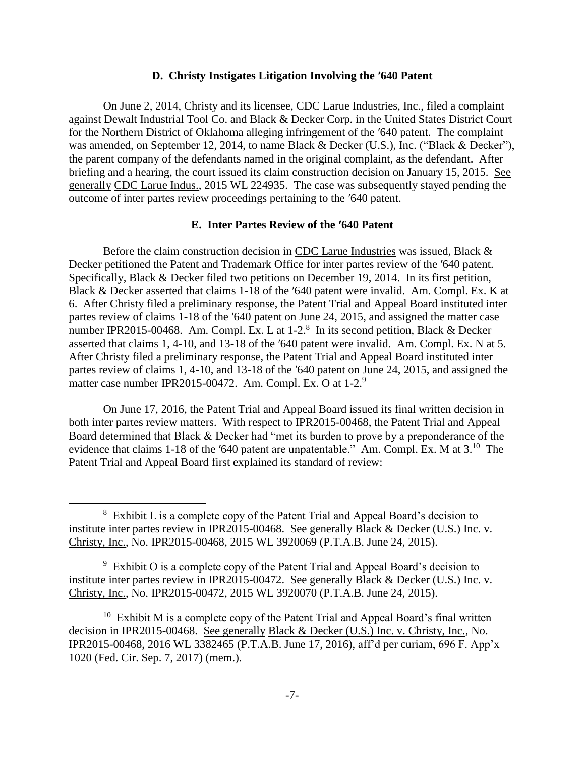### **D. Christy Instigates Litigation Involving the ′640 Patent**

On June 2, 2014, Christy and its licensee, CDC Larue Industries, Inc., filed a complaint against Dewalt Industrial Tool Co. and Black & Decker Corp. in the United States District Court for the Northern District of Oklahoma alleging infringement of the ′640 patent. The complaint was amended, on September 12, 2014, to name Black & Decker (U.S.), Inc. ("Black & Decker"), the parent company of the defendants named in the original complaint, as the defendant. After briefing and a hearing, the court issued its claim construction decision on January 15, 2015. See generally CDC Larue Indus., 2015 WL 224935. The case was subsequently stayed pending the outcome of inter partes review proceedings pertaining to the ′640 patent.

# **E. Inter Partes Review of the ′640 Patent**

Before the claim construction decision in CDC Larue Industries was issued, Black & Decker petitioned the Patent and Trademark Office for inter partes review of the ′640 patent. Specifically, Black & Decker filed two petitions on December 19, 2014. In its first petition, Black & Decker asserted that claims 1-18 of the ′640 patent were invalid. Am. Compl. Ex. K at 6. After Christy filed a preliminary response, the Patent Trial and Appeal Board instituted inter partes review of claims 1-18 of the ′640 patent on June 24, 2015, and assigned the matter case number IPR2015-00468. Am. Compl. Ex. L at  $1-2$ .<sup>8</sup> In its second petition, Black & Decker asserted that claims 1, 4-10, and 13-18 of the ′640 patent were invalid. Am. Compl. Ex. N at 5. After Christy filed a preliminary response, the Patent Trial and Appeal Board instituted inter partes review of claims 1, 4-10, and 13-18 of the ′640 patent on June 24, 2015, and assigned the matter case number IPR2015-00472. Am. Compl. Ex. O at 1-2.<sup>9</sup>

On June 17, 2016, the Patent Trial and Appeal Board issued its final written decision in both inter partes review matters. With respect to IPR2015-00468, the Patent Trial and Appeal Board determined that Black & Decker had "met its burden to prove by a preponderance of the evidence that claims 1-18 of the  $'640$  patent are unpatentable." Am. Compl. Ex. M at  $3.^{10}$  The Patent Trial and Appeal Board first explained its standard of review:

 $\overline{a}$ 

<sup>9</sup> Exhibit O is a complete copy of the Patent Trial and Appeal Board's decision to institute inter partes review in IPR2015-00472. See generally Black & Decker (U.S.) Inc. v. Christy, Inc., No. IPR2015-00472, 2015 WL 3920070 (P.T.A.B. June 24, 2015).

<sup>&</sup>lt;sup>8</sup> Exhibit L is a complete copy of the Patent Trial and Appeal Board's decision to institute inter partes review in IPR2015-00468. See generally Black & Decker (U.S.) Inc. v. Christy, Inc., No. IPR2015-00468, 2015 WL 3920069 (P.T.A.B. June 24, 2015).

<sup>&</sup>lt;sup>10</sup> Exhibit M is a complete copy of the Patent Trial and Appeal Board's final written decision in IPR2015-00468. See generally Black & Decker (U.S.) Inc. v. Christy, Inc., No. IPR2015-00468, 2016 WL 3382465 (P.T.A.B. June 17, 2016), aff'd per curiam, 696 F. App'x 1020 (Fed. Cir. Sep. 7, 2017) (mem.).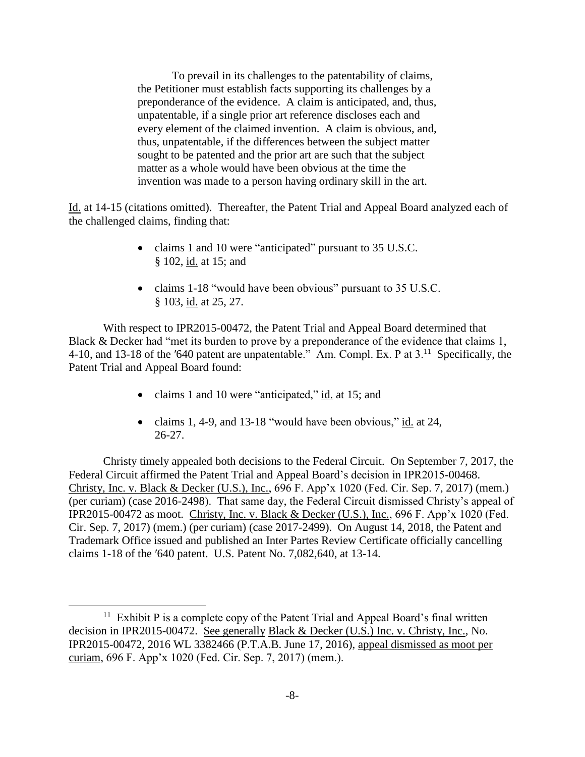To prevail in its challenges to the patentability of claims, the Petitioner must establish facts supporting its challenges by a preponderance of the evidence. A claim is anticipated, and, thus, unpatentable, if a single prior art reference discloses each and every element of the claimed invention. A claim is obvious, and, thus, unpatentable, if the differences between the subject matter sought to be patented and the prior art are such that the subject matter as a whole would have been obvious at the time the invention was made to a person having ordinary skill in the art.

Id. at 14-15 (citations omitted). Thereafter, the Patent Trial and Appeal Board analyzed each of the challenged claims, finding that:

- claims 1 and 10 were "anticipated" pursuant to 35 U.S.C. § 102, id. at 15; and
- claims 1-18 "would have been obvious" pursuant to 35 U.S.C. § 103, id. at 25, 27.

With respect to IPR2015-00472, the Patent Trial and Appeal Board determined that Black & Decker had "met its burden to prove by a preponderance of the evidence that claims 1, 4-10, and 13-18 of the '640 patent are unpatentable." Am. Compl. Ex. P at 3.<sup>11</sup> Specifically, the Patent Trial and Appeal Board found:

- claims 1 and 10 were "anticipated," id. at 15; and
- claims 1, 4-9, and 13-18 "would have been obvious,"  $\underline{\text{id}}$  at 24, 26-27.

Christy timely appealed both decisions to the Federal Circuit. On September 7, 2017, the Federal Circuit affirmed the Patent Trial and Appeal Board's decision in IPR2015-00468. Christy, Inc. v. Black & Decker (U.S.), Inc., 696 F. App'x 1020 (Fed. Cir. Sep. 7, 2017) (mem.) (per curiam) (case 2016-2498). That same day, the Federal Circuit dismissed Christy's appeal of IPR2015-00472 as moot. Christy, Inc. v. Black & Decker (U.S.), Inc., 696 F. App'x 1020 (Fed. Cir. Sep. 7, 2017) (mem.) (per curiam) (case 2017-2499). On August 14, 2018, the Patent and Trademark Office issued and published an Inter Partes Review Certificate officially cancelling claims 1-18 of the ′640 patent. U.S. Patent No. 7,082,640, at 13-14.

 $11$  Exhibit P is a complete copy of the Patent Trial and Appeal Board's final written decision in IPR2015-00472. See generally Black & Decker (U.S.) Inc. v. Christy, Inc., No. IPR2015-00472, 2016 WL 3382466 (P.T.A.B. June 17, 2016), appeal dismissed as moot per curiam, 696 F. App'x 1020 (Fed. Cir. Sep. 7, 2017) (mem.).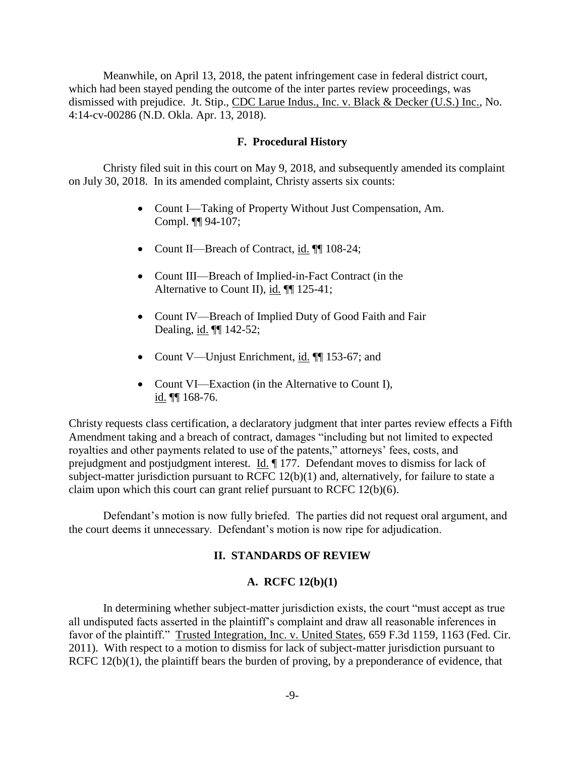Meanwhile, on April 13, 2018, the patent infringement case in federal district court, which had been stayed pending the outcome of the inter partes review proceedings, was dismissed with prejudice. Jt. Stip., CDC Larue Indus., Inc. v. Black & Decker (U.S.) Inc., No. 4:14-cv-00286 (N.D. Okla. Apr. 13, 2018).

### **F. Procedural History**

Christy filed suit in this court on May 9, 2018, and subsequently amended its complaint on July 30, 2018. In its amended complaint, Christy asserts six counts:

- Count I—Taking of Property Without Just Compensation, Am. Compl. ¶¶ 94-107;
- Count II—Breach of Contract, id.  $\P$  108-24;
- Count III—Breach of Implied-in-Fact Contract (in the Alternative to Count II), id. ¶¶ 125-41;
- Count IV—Breach of Implied Duty of Good Faith and Fair Dealing, id. ¶¶ 142-52;
- Count V—Unjust Enrichment, id. ¶ 153-67; and
- Count VI—Exaction (in the Alternative to Count I), id. ¶¶ 168-76.

Christy requests class certification, a declaratory judgment that inter partes review effects a Fifth Amendment taking and a breach of contract, damages "including but not limited to expected royalties and other payments related to use of the patents," attorneys' fees, costs, and prejudgment and postjudgment interest. Id. ¶ 177. Defendant moves to dismiss for lack of subject-matter jurisdiction pursuant to RCFC 12(b)(1) and, alternatively, for failure to state a claim upon which this court can grant relief pursuant to RCFC 12(b)(6).

Defendant's motion is now fully briefed. The parties did not request oral argument, and the court deems it unnecessary. Defendant's motion is now ripe for adjudication.

### **II. STANDARDS OF REVIEW**

### **A. RCFC 12(b)(1)**

In determining whether subject-matter jurisdiction exists, the court "must accept as true all undisputed facts asserted in the plaintiff's complaint and draw all reasonable inferences in favor of the plaintiff." Trusted Integration, Inc. v. United States, 659 F.3d 1159, 1163 (Fed. Cir. 2011). With respect to a motion to dismiss for lack of subject-matter jurisdiction pursuant to RCFC 12(b)(1), the plaintiff bears the burden of proving, by a preponderance of evidence, that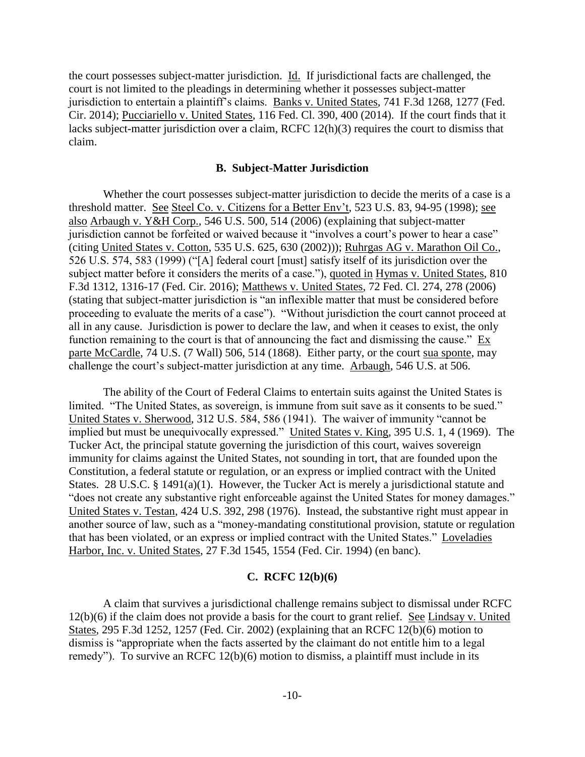the court possesses subject-matter jurisdiction. Id. If jurisdictional facts are challenged, the court is not limited to the pleadings in determining whether it possesses subject-matter jurisdiction to entertain a plaintiff's claims. Banks v. United States, 741 F.3d 1268, 1277 (Fed. Cir. 2014); Pucciariello v. United States, 116 Fed. Cl. 390, 400 (2014). If the court finds that it lacks subject-matter jurisdiction over a claim, RCFC 12(h)(3) requires the court to dismiss that claim.

### **B. Subject-Matter Jurisdiction**

Whether the court possesses subject-matter jurisdiction to decide the merits of a case is a threshold matter. See Steel Co. v. Citizens for a Better Env't, 523 U.S. 83, 94-95 (1998); see also Arbaugh v. Y&H Corp., 546 U.S. 500, 514 (2006) (explaining that subject-matter jurisdiction cannot be forfeited or waived because it "involves a court's power to hear a case" (citing United States v. Cotton, 535 U.S. 625, 630 (2002))); Ruhrgas AG v. Marathon Oil Co., 526 U.S. 574, 583 (1999) ("[A] federal court [must] satisfy itself of its jurisdiction over the subject matter before it considers the merits of a case."), quoted in Hymas v. United States, 810 F.3d 1312, 1316-17 (Fed. Cir. 2016); Matthews v. United States, 72 Fed. Cl. 274, 278 (2006) (stating that subject-matter jurisdiction is "an inflexible matter that must be considered before proceeding to evaluate the merits of a case"). "Without jurisdiction the court cannot proceed at all in any cause. Jurisdiction is power to declare the law, and when it ceases to exist, the only function remaining to the court is that of announcing the fact and dismissing the cause." Ex parte McCardle, 74 U.S. (7 Wall) 506, 514 (1868). Either party, or the court sua sponte, may challenge the court's subject-matter jurisdiction at any time. Arbaugh, 546 U.S. at 506.

The ability of the Court of Federal Claims to entertain suits against the United States is limited. "The United States, as sovereign, is immune from suit save as it consents to be sued." United States v. Sherwood, 312 U.S. 584, 586 (1941). The waiver of immunity "cannot be implied but must be unequivocally expressed." United States v. King, 395 U.S. 1, 4 (1969). The Tucker Act, the principal statute governing the jurisdiction of this court, waives sovereign immunity for claims against the United States, not sounding in tort, that are founded upon the Constitution, a federal statute or regulation, or an express or implied contract with the United States. 28 U.S.C. § 1491(a)(1). However, the Tucker Act is merely a jurisdictional statute and "does not create any substantive right enforceable against the United States for money damages." United States v. Testan, 424 U.S. 392, 298 (1976). Instead, the substantive right must appear in another source of law, such as a "money-mandating constitutional provision, statute or regulation that has been violated, or an express or implied contract with the United States." Loveladies Harbor, Inc. v. United States, 27 F.3d 1545, 1554 (Fed. Cir. 1994) (en banc).

### **C. RCFC 12(b)(6)**

A claim that survives a jurisdictional challenge remains subject to dismissal under RCFC 12(b)(6) if the claim does not provide a basis for the court to grant relief. See Lindsay v. United States, 295 F.3d 1252, 1257 (Fed. Cir. 2002) (explaining that an RCFC 12(b)(6) motion to dismiss is "appropriate when the facts asserted by the claimant do not entitle him to a legal remedy"). To survive an RCFC 12(b)(6) motion to dismiss, a plaintiff must include in its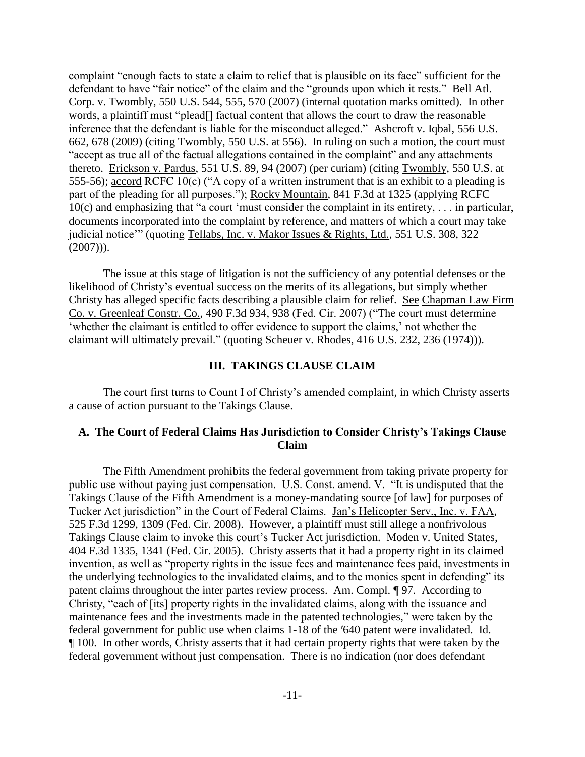complaint "enough facts to state a claim to relief that is plausible on its face" sufficient for the defendant to have "fair notice" of the claim and the "grounds upon which it rests." Bell Atl. Corp. v. Twombly, 550 U.S. 544, 555, 570 (2007) (internal quotation marks omitted). In other words, a plaintiff must "plead[] factual content that allows the court to draw the reasonable inference that the defendant is liable for the misconduct alleged." Ashcroft v. Iqbal, 556 U.S. 662, 678 (2009) (citing Twombly, 550 U.S. at 556). In ruling on such a motion, the court must "accept as true all of the factual allegations contained in the complaint" and any attachments thereto. Erickson v. Pardus, 551 U.S. 89, 94 (2007) (per curiam) (citing Twombly, 550 U.S. at 555-56); accord RCFC 10(c) ("A copy of a written instrument that is an exhibit to a pleading is part of the pleading for all purposes."); Rocky Mountain, 841 F.3d at 1325 (applying RCFC 10(c) and emphasizing that "a court 'must consider the complaint in its entirety, . . . in particular, documents incorporated into the complaint by reference, and matters of which a court may take judicial notice'" (quoting Tellabs, Inc. v. Makor Issues & Rights, Ltd., 551 U.S. 308, 322  $(2007))$ .

The issue at this stage of litigation is not the sufficiency of any potential defenses or the likelihood of Christy's eventual success on the merits of its allegations, but simply whether Christy has alleged specific facts describing a plausible claim for relief. See Chapman Law Firm Co. v. Greenleaf Constr. Co., 490 F.3d 934, 938 (Fed. Cir. 2007) ("The court must determine 'whether the claimant is entitled to offer evidence to support the claims,' not whether the claimant will ultimately prevail." (quoting Scheuer v. Rhodes, 416 U.S. 232, 236 (1974))).

### **III. TAKINGS CLAUSE CLAIM**

The court first turns to Count I of Christy's amended complaint, in which Christy asserts a cause of action pursuant to the Takings Clause.

### **A. The Court of Federal Claims Has Jurisdiction to Consider Christy's Takings Clause Claim**

The Fifth Amendment prohibits the federal government from taking private property for public use without paying just compensation. U.S. Const. amend. V. "It is undisputed that the Takings Clause of the Fifth Amendment is a money-mandating source [of law] for purposes of Tucker Act jurisdiction" in the Court of Federal Claims. Jan's Helicopter Serv., Inc. v. FAA, 525 F.3d 1299, 1309 (Fed. Cir. 2008). However, a plaintiff must still allege a nonfrivolous Takings Clause claim to invoke this court's Tucker Act jurisdiction. Moden v. United States, 404 F.3d 1335, 1341 (Fed. Cir. 2005). Christy asserts that it had a property right in its claimed invention, as well as "property rights in the issue fees and maintenance fees paid, investments in the underlying technologies to the invalidated claims, and to the monies spent in defending" its patent claims throughout the inter partes review process. Am. Compl. ¶ 97. According to Christy, "each of [its] property rights in the invalidated claims, along with the issuance and maintenance fees and the investments made in the patented technologies," were taken by the federal government for public use when claims 1-18 of the ′640 patent were invalidated. Id. ¶ 100. In other words, Christy asserts that it had certain property rights that were taken by the federal government without just compensation. There is no indication (nor does defendant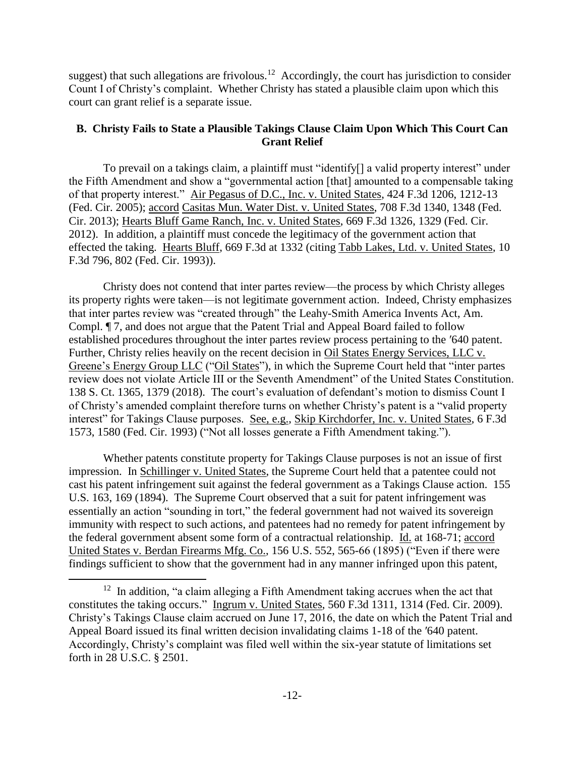suggest) that such allegations are frivolous.<sup>12</sup> Accordingly, the court has jurisdiction to consider Count I of Christy's complaint. Whether Christy has stated a plausible claim upon which this court can grant relief is a separate issue.

# **B. Christy Fails to State a Plausible Takings Clause Claim Upon Which This Court Can Grant Relief**

To prevail on a takings claim, a plaintiff must "identify[] a valid property interest" under the Fifth Amendment and show a "governmental action [that] amounted to a compensable taking of that property interest." Air Pegasus of D.C., Inc. v. United States, 424 F.3d 1206, 1212-13 (Fed. Cir. 2005); accord Casitas Mun. Water Dist. v. United States, 708 F.3d 1340, 1348 (Fed. Cir. 2013); Hearts Bluff Game Ranch, Inc. v. United States, 669 F.3d 1326, 1329 (Fed. Cir. 2012). In addition, a plaintiff must concede the legitimacy of the government action that effected the taking. Hearts Bluff, 669 F.3d at 1332 (citing Tabb Lakes, Ltd. v. United States, 10 F.3d 796, 802 (Fed. Cir. 1993)).

Christy does not contend that inter partes review—the process by which Christy alleges its property rights were taken—is not legitimate government action. Indeed, Christy emphasizes that inter partes review was "created through" the Leahy-Smith America Invents Act, Am. Compl. ¶ 7, and does not argue that the Patent Trial and Appeal Board failed to follow established procedures throughout the inter partes review process pertaining to the ′640 patent. Further, Christy relies heavily on the recent decision in Oil States Energy Services, LLC v. Greene's Energy Group LLC ("Oil States"), in which the Supreme Court held that "inter partes review does not violate Article III or the Seventh Amendment" of the United States Constitution. 138 S. Ct. 1365, 1379 (2018). The court's evaluation of defendant's motion to dismiss Count I of Christy's amended complaint therefore turns on whether Christy's patent is a "valid property interest" for Takings Clause purposes. See, e.g., Skip Kirchdorfer, Inc. v. United States, 6 F.3d 1573, 1580 (Fed. Cir. 1993) ("Not all losses generate a Fifth Amendment taking.").

Whether patents constitute property for Takings Clause purposes is not an issue of first impression. In Schillinger v. United States, the Supreme Court held that a patentee could not cast his patent infringement suit against the federal government as a Takings Clause action. 155 U.S. 163, 169 (1894). The Supreme Court observed that a suit for patent infringement was essentially an action "sounding in tort," the federal government had not waived its sovereign immunity with respect to such actions, and patentees had no remedy for patent infringement by the federal government absent some form of a contractual relationship. Id. at 168-71; accord United States v. Berdan Firearms Mfg. Co., 156 U.S. 552, 565-66 (1895) ("Even if there were findings sufficient to show that the government had in any manner infringed upon this patent,

<sup>&</sup>lt;sup>12</sup> In addition, "a claim alleging a Fifth Amendment taking accrues when the act that constitutes the taking occurs." Ingrum v. United States, 560 F.3d 1311, 1314 (Fed. Cir. 2009). Christy's Takings Clause claim accrued on June 17, 2016, the date on which the Patent Trial and Appeal Board issued its final written decision invalidating claims 1-18 of the ′640 patent. Accordingly, Christy's complaint was filed well within the six-year statute of limitations set forth in 28 U.S.C. § 2501.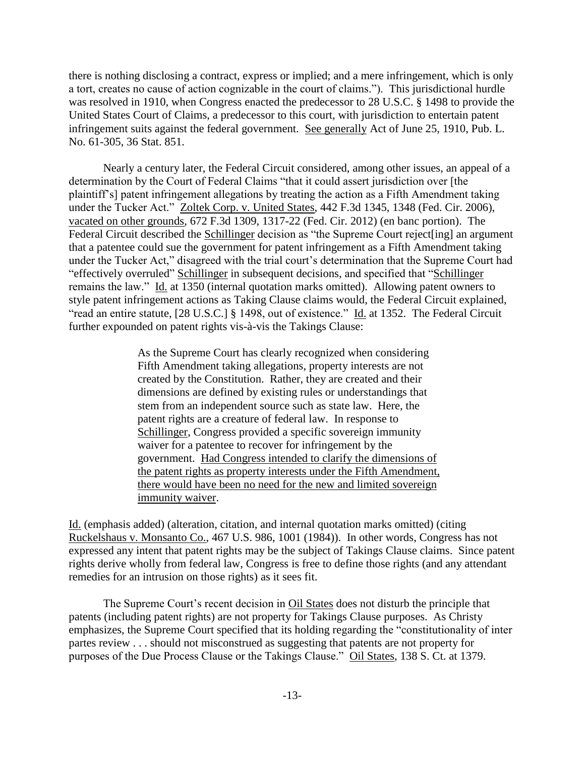there is nothing disclosing a contract, express or implied; and a mere infringement, which is only a tort, creates no cause of action cognizable in the court of claims."). This jurisdictional hurdle was resolved in 1910, when Congress enacted the predecessor to 28 U.S.C. § 1498 to provide the United States Court of Claims, a predecessor to this court, with jurisdiction to entertain patent infringement suits against the federal government. See generally Act of June 25, 1910, Pub. L. No. 61-305, 36 Stat. 851.

Nearly a century later, the Federal Circuit considered, among other issues, an appeal of a determination by the Court of Federal Claims "that it could assert jurisdiction over [the plaintiff's] patent infringement allegations by treating the action as a Fifth Amendment taking under the Tucker Act." Zoltek Corp. v. United States, 442 F.3d 1345, 1348 (Fed. Cir. 2006), vacated on other grounds, 672 F.3d 1309, 1317-22 (Fed. Cir. 2012) (en banc portion). The Federal Circuit described the Schillinger decision as "the Supreme Court reject[ing] an argument that a patentee could sue the government for patent infringement as a Fifth Amendment taking under the Tucker Act," disagreed with the trial court's determination that the Supreme Court had "effectively overruled" Schillinger in subsequent decisions, and specified that "Schillinger remains the law." Id. at 1350 (internal quotation marks omitted). Allowing patent owners to style patent infringement actions as Taking Clause claims would, the Federal Circuit explained, "read an entire statute, [28 U.S.C.] § 1498, out of existence." Id. at 1352. The Federal Circuit further expounded on patent rights vis-à-vis the Takings Clause:

> As the Supreme Court has clearly recognized when considering Fifth Amendment taking allegations, property interests are not created by the Constitution. Rather, they are created and their dimensions are defined by existing rules or understandings that stem from an independent source such as state law. Here, the patent rights are a creature of federal law. In response to Schillinger, Congress provided a specific sovereign immunity waiver for a patentee to recover for infringement by the government. Had Congress intended to clarify the dimensions of the patent rights as property interests under the Fifth Amendment, there would have been no need for the new and limited sovereign immunity waiver.

Id. (emphasis added) (alteration, citation, and internal quotation marks omitted) (citing Ruckelshaus v. Monsanto Co., 467 U.S. 986, 1001 (1984)). In other words, Congress has not expressed any intent that patent rights may be the subject of Takings Clause claims. Since patent rights derive wholly from federal law, Congress is free to define those rights (and any attendant remedies for an intrusion on those rights) as it sees fit.

The Supreme Court's recent decision in <u>Oil States</u> does not disturb the principle that patents (including patent rights) are not property for Takings Clause purposes. As Christy emphasizes, the Supreme Court specified that its holding regarding the "constitutionality of inter partes review . . . should not misconstrued as suggesting that patents are not property for purposes of the Due Process Clause or the Takings Clause." Oil States, 138 S. Ct. at 1379.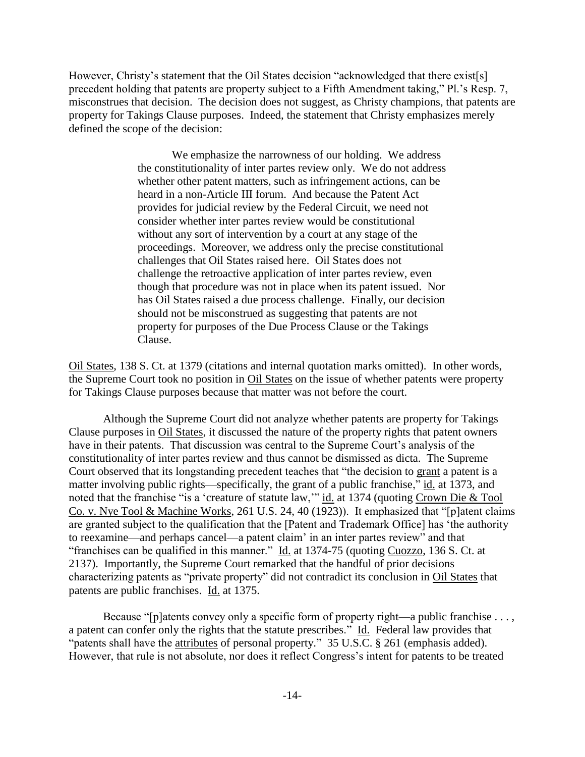However, Christy's statement that the Oil States decision "acknowledged that there exist[s] precedent holding that patents are property subject to a Fifth Amendment taking," Pl.'s Resp. 7, misconstrues that decision. The decision does not suggest, as Christy champions, that patents are property for Takings Clause purposes. Indeed, the statement that Christy emphasizes merely defined the scope of the decision:

> We emphasize the narrowness of our holding. We address the constitutionality of inter partes review only. We do not address whether other patent matters, such as infringement actions, can be heard in a non-Article III forum. And because the Patent Act provides for judicial review by the Federal Circuit, we need not consider whether inter partes review would be constitutional without any sort of intervention by a court at any stage of the proceedings. Moreover, we address only the precise constitutional challenges that Oil States raised here. Oil States does not challenge the retroactive application of inter partes review, even though that procedure was not in place when its patent issued. Nor has Oil States raised a due process challenge. Finally, our decision should not be misconstrued as suggesting that patents are not property for purposes of the Due Process Clause or the Takings Clause.

Oil States, 138 S. Ct. at 1379 (citations and internal quotation marks omitted). In other words, the Supreme Court took no position in Oil States on the issue of whether patents were property for Takings Clause purposes because that matter was not before the court.

Although the Supreme Court did not analyze whether patents are property for Takings Clause purposes in Oil States, it discussed the nature of the property rights that patent owners have in their patents. That discussion was central to the Supreme Court's analysis of the constitutionality of inter partes review and thus cannot be dismissed as dicta. The Supreme Court observed that its longstanding precedent teaches that "the decision to grant a patent is a matter involving public rights—specifically, the grant of a public franchise," id. at 1373, and noted that the franchise "is a 'creature of statute law," id. at 1374 (quoting Crown Die & Tool Co. v. Nye Tool & Machine Works, 261 U.S. 24, 40 (1923)). It emphasized that "[p]atent claims are granted subject to the qualification that the [Patent and Trademark Office] has 'the authority to reexamine—and perhaps cancel—a patent claim' in an inter partes review" and that "franchises can be qualified in this manner." Id. at 1374-75 (quoting Cuozzo, 136 S. Ct. at 2137). Importantly, the Supreme Court remarked that the handful of prior decisions characterizing patents as "private property" did not contradict its conclusion in Oil States that patents are public franchises. Id. at 1375.

Because "[p]atents convey only a specific form of property right—a public franchise . . . , a patent can confer only the rights that the statute prescribes." Id. Federal law provides that "patents shall have the attributes of personal property." 35 U.S.C. § 261 (emphasis added). However, that rule is not absolute, nor does it reflect Congress's intent for patents to be treated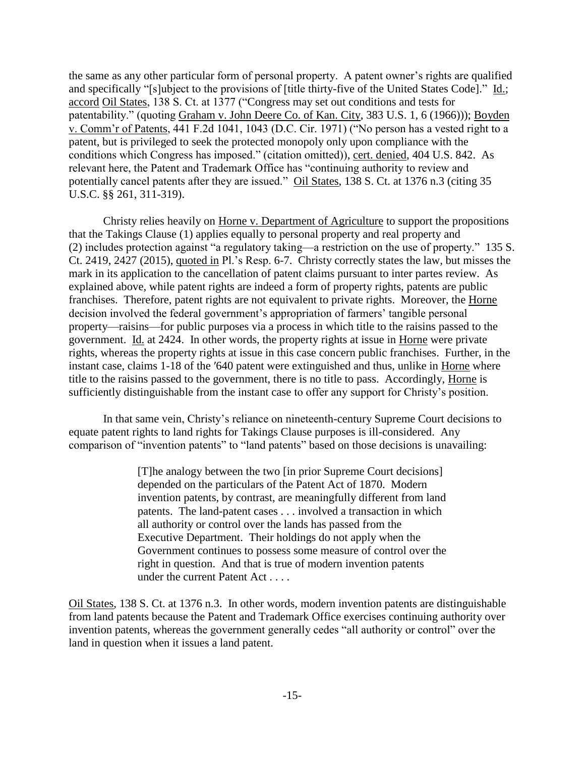the same as any other particular form of personal property. A patent owner's rights are qualified and specifically "[s]ubject to the provisions of [title thirty-five of the United States Code]." Id.; accord Oil States, 138 S. Ct. at 1377 ("Congress may set out conditions and tests for patentability." (quoting Graham v. John Deere Co. of Kan. City, 383 U.S. 1, 6 (1966))); Boyden v. Comm'r of Patents, 441 F.2d 1041, 1043 (D.C. Cir. 1971) ("No person has a vested right to a patent, but is privileged to seek the protected monopoly only upon compliance with the conditions which Congress has imposed." (citation omitted)), cert. denied, 404 U.S. 842. As relevant here, the Patent and Trademark Office has "continuing authority to review and potentially cancel patents after they are issued." Oil States, 138 S. Ct. at 1376 n.3 (citing 35 U.S.C. §§ 261, 311-319).

Christy relies heavily on Horne v. Department of Agriculture to support the propositions that the Takings Clause (1) applies equally to personal property and real property and (2) includes protection against "a regulatory taking—a restriction on the use of property." 135 S. Ct. 2419, 2427 (2015), quoted in Pl.'s Resp. 6-7. Christy correctly states the law, but misses the mark in its application to the cancellation of patent claims pursuant to inter partes review. As explained above, while patent rights are indeed a form of property rights, patents are public franchises. Therefore, patent rights are not equivalent to private rights. Moreover, the Horne decision involved the federal government's appropriation of farmers' tangible personal property—raisins—for public purposes via a process in which title to the raisins passed to the government. Id. at 2424. In other words, the property rights at issue in Horne were private rights, whereas the property rights at issue in this case concern public franchises. Further, in the instant case, claims 1-18 of the ′640 patent were extinguished and thus, unlike in Horne where title to the raisins passed to the government, there is no title to pass. Accordingly, Horne is sufficiently distinguishable from the instant case to offer any support for Christy's position.

In that same vein, Christy's reliance on nineteenth-century Supreme Court decisions to equate patent rights to land rights for Takings Clause purposes is ill-considered. Any comparison of "invention patents" to "land patents" based on those decisions is unavailing:

> [T]he analogy between the two [in prior Supreme Court decisions] depended on the particulars of the Patent Act of 1870. Modern invention patents, by contrast, are meaningfully different from land patents. The land-patent cases . . . involved a transaction in which all authority or control over the lands has passed from the Executive Department. Their holdings do not apply when the Government continues to possess some measure of control over the right in question. And that is true of modern invention patents under the current Patent Act . . . .

Oil States, 138 S. Ct. at 1376 n.3. In other words, modern invention patents are distinguishable from land patents because the Patent and Trademark Office exercises continuing authority over invention patents, whereas the government generally cedes "all authority or control" over the land in question when it issues a land patent.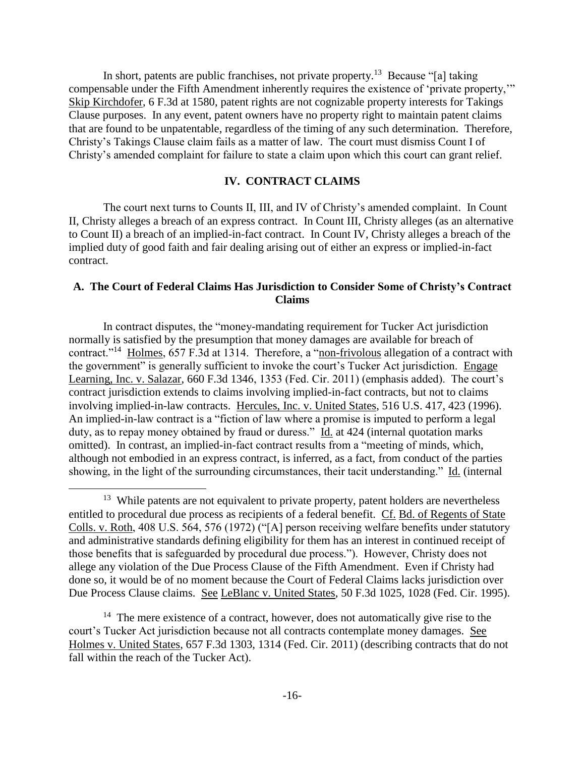In short, patents are public franchises, not private property.<sup>13</sup> Because "[a] taking compensable under the Fifth Amendment inherently requires the existence of 'private property,'" Skip Kirchdofer, 6 F.3d at 1580, patent rights are not cognizable property interests for Takings Clause purposes. In any event, patent owners have no property right to maintain patent claims that are found to be unpatentable, regardless of the timing of any such determination. Therefore, Christy's Takings Clause claim fails as a matter of law. The court must dismiss Count I of Christy's amended complaint for failure to state a claim upon which this court can grant relief.

# **IV. CONTRACT CLAIMS**

The court next turns to Counts II, III, and IV of Christy's amended complaint. In Count II, Christy alleges a breach of an express contract. In Count III, Christy alleges (as an alternative to Count II) a breach of an implied-in-fact contract. In Count IV, Christy alleges a breach of the implied duty of good faith and fair dealing arising out of either an express or implied-in-fact contract.

# **A. The Court of Federal Claims Has Jurisdiction to Consider Some of Christy's Contract Claims**

In contract disputes, the "money-mandating requirement for Tucker Act jurisdiction normally is satisfied by the presumption that money damages are available for breach of contract."<sup>14</sup> Holmes, 657 F.3d at 1314. Therefore, a "non-frivolous allegation of a contract with the government" is generally sufficient to invoke the court's Tucker Act jurisdiction. Engage Learning, Inc. v. Salazar, 660 F.3d 1346, 1353 (Fed. Cir. 2011) (emphasis added). The court's contract jurisdiction extends to claims involving implied-in-fact contracts, but not to claims involving implied-in-law contracts. Hercules, Inc. v. United States, 516 U.S. 417, 423 (1996). An implied-in-law contract is a "fiction of law where a promise is imputed to perform a legal duty, as to repay money obtained by fraud or duress." Id. at 424 (internal quotation marks omitted). In contrast, an implied-in-fact contract results from a "meeting of minds, which, although not embodied in an express contract, is inferred, as a fact, from conduct of the parties showing, in the light of the surrounding circumstances, their tacit understanding." Id. (internal

<sup>&</sup>lt;sup>13</sup> While patents are not equivalent to private property, patent holders are nevertheless entitled to procedural due process as recipients of a federal benefit. Cf. Bd. of Regents of State Colls. v. Roth, 408 U.S. 564, 576 (1972) ("[A] person receiving welfare benefits under statutory and administrative standards defining eligibility for them has an interest in continued receipt of those benefits that is safeguarded by procedural due process."). However, Christy does not allege any violation of the Due Process Clause of the Fifth Amendment. Even if Christy had done so, it would be of no moment because the Court of Federal Claims lacks jurisdiction over Due Process Clause claims. See LeBlanc v. United States, 50 F.3d 1025, 1028 (Fed. Cir. 1995).

<sup>&</sup>lt;sup>14</sup> The mere existence of a contract, however, does not automatically give rise to the court's Tucker Act jurisdiction because not all contracts contemplate money damages. See Holmes v. United States, 657 F.3d 1303, 1314 (Fed. Cir. 2011) (describing contracts that do not fall within the reach of the Tucker Act).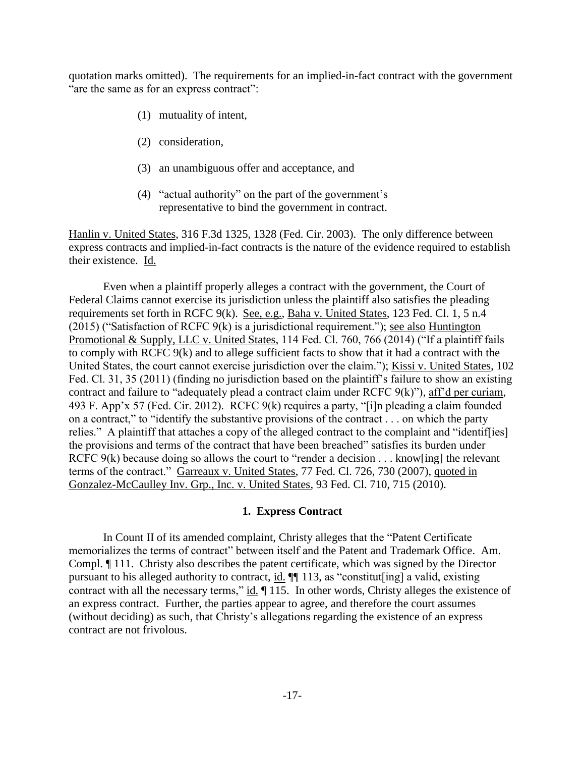quotation marks omitted). The requirements for an implied-in-fact contract with the government "are the same as for an express contract":

- (1) mutuality of intent,
- (2) consideration,
- (3) an unambiguous offer and acceptance, and
- (4) "actual authority" on the part of the government's representative to bind the government in contract.

Hanlin v. United States, 316 F.3d 1325, 1328 (Fed. Cir. 2003). The only difference between express contracts and implied-in-fact contracts is the nature of the evidence required to establish their existence. Id.

Even when a plaintiff properly alleges a contract with the government, the Court of Federal Claims cannot exercise its jurisdiction unless the plaintiff also satisfies the pleading requirements set forth in RCFC 9(k). See, e.g., Baha v. United States, 123 Fed. Cl. 1, 5 n.4 (2015) ("Satisfaction of RCFC 9(k) is a jurisdictional requirement."); see also Huntington Promotional & Supply, LLC v. United States, 114 Fed. Cl. 760, 766 (2014) ("If a plaintiff fails to comply with RCFC 9(k) and to allege sufficient facts to show that it had a contract with the United States, the court cannot exercise jurisdiction over the claim."); Kissi v. United States, 102 Fed. Cl. 31, 35 (2011) (finding no jurisdiction based on the plaintiff's failure to show an existing contract and failure to "adequately plead a contract claim under RCFC 9(k)"), aff'd per curiam, 493 F. App'x 57 (Fed. Cir. 2012). RCFC 9(k) requires a party, "[i]n pleading a claim founded on a contract," to "identify the substantive provisions of the contract . . . on which the party relies." A plaintiff that attaches a copy of the alleged contract to the complaint and "identif[ies] the provisions and terms of the contract that have been breached" satisfies its burden under RCFC 9(k) because doing so allows the court to "render a decision . . . know [ing] the relevant terms of the contract." Garreaux v. United States, 77 Fed. Cl. 726, 730 (2007), quoted in Gonzalez-McCaulley Inv. Grp., Inc. v. United States, 93 Fed. Cl. 710, 715 (2010).

### **1. Express Contract**

In Count II of its amended complaint, Christy alleges that the "Patent Certificate memorializes the terms of contract" between itself and the Patent and Trademark Office. Am. Compl. ¶ 111. Christy also describes the patent certificate, which was signed by the Director pursuant to his alleged authority to contract, id. ¶¶ 113, as "constitut[ing] a valid, existing contract with all the necessary terms," id.  $\parallel$  115. In other words, Christy alleges the existence of an express contract. Further, the parties appear to agree, and therefore the court assumes (without deciding) as such, that Christy's allegations regarding the existence of an express contract are not frivolous.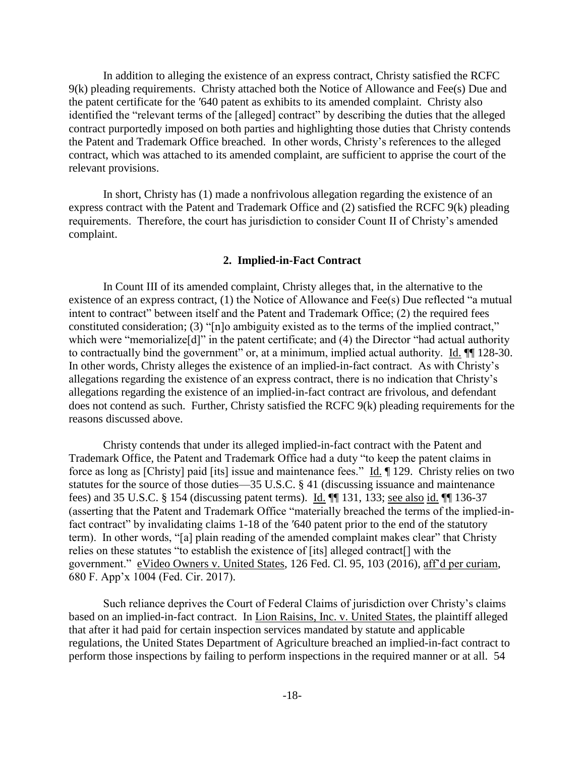In addition to alleging the existence of an express contract, Christy satisfied the RCFC 9(k) pleading requirements. Christy attached both the Notice of Allowance and Fee(s) Due and the patent certificate for the ′640 patent as exhibits to its amended complaint. Christy also identified the "relevant terms of the [alleged] contract" by describing the duties that the alleged contract purportedly imposed on both parties and highlighting those duties that Christy contends the Patent and Trademark Office breached. In other words, Christy's references to the alleged contract, which was attached to its amended complaint, are sufficient to apprise the court of the relevant provisions.

In short, Christy has (1) made a nonfrivolous allegation regarding the existence of an express contract with the Patent and Trademark Office and (2) satisfied the RCFC 9(k) pleading requirements. Therefore, the court has jurisdiction to consider Count II of Christy's amended complaint.

### **2. Implied-in-Fact Contract**

In Count III of its amended complaint, Christy alleges that, in the alternative to the existence of an express contract, (1) the Notice of Allowance and Fee(s) Due reflected "a mutual intent to contract" between itself and the Patent and Trademark Office; (2) the required fees constituted consideration; (3) "[n]o ambiguity existed as to the terms of the implied contract," which were "memorialize<sup>[d]"</sup> in the patent certificate; and (4) the Director "had actual authority to contractually bind the government" or, at a minimum, implied actual authority. Id.  $\P$  128-30. In other words, Christy alleges the existence of an implied-in-fact contract. As with Christy's allegations regarding the existence of an express contract, there is no indication that Christy's allegations regarding the existence of an implied-in-fact contract are frivolous, and defendant does not contend as such. Further, Christy satisfied the RCFC 9(k) pleading requirements for the reasons discussed above.

Christy contends that under its alleged implied-in-fact contract with the Patent and Trademark Office, the Patent and Trademark Office had a duty "to keep the patent claims in force as long as [Christy] paid [its] issue and maintenance fees." Id. ¶ 129. Christy relies on two statutes for the source of those duties—35 U.S.C. § 41 (discussing issuance and maintenance fees) and 35 U.S.C. § 154 (discussing patent terms). Id. ¶¶ 131, 133; see also id. ¶¶ 136-37 (asserting that the Patent and Trademark Office "materially breached the terms of the implied-infact contract" by invalidating claims 1-18 of the ′640 patent prior to the end of the statutory term). In other words, "[a] plain reading of the amended complaint makes clear" that Christy relies on these statutes "to establish the existence of [its] alleged contract[] with the government." eVideo Owners v. United States, 126 Fed. Cl. 95, 103 (2016), aff'd per curiam, 680 F. App'x 1004 (Fed. Cir. 2017).

Such reliance deprives the Court of Federal Claims of jurisdiction over Christy's claims based on an implied-in-fact contract. In Lion Raisins, Inc. v. United States, the plaintiff alleged that after it had paid for certain inspection services mandated by statute and applicable regulations, the United States Department of Agriculture breached an implied-in-fact contract to perform those inspections by failing to perform inspections in the required manner or at all. 54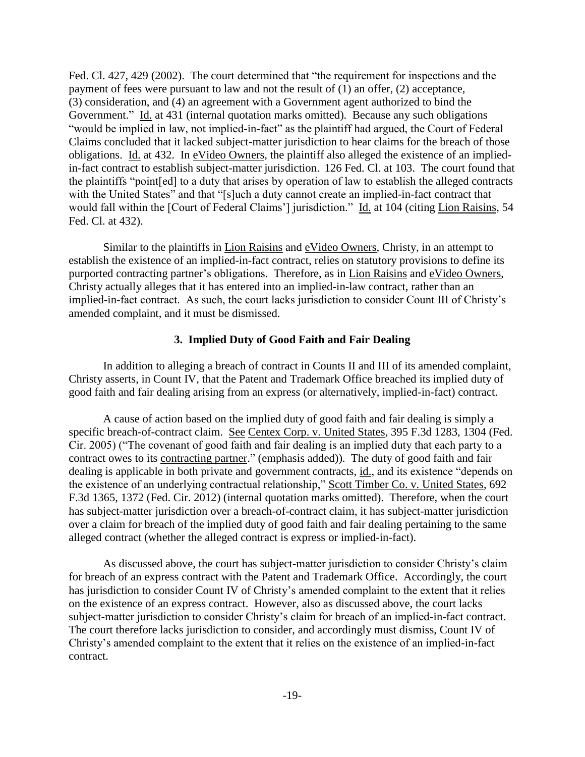Fed. Cl. 427, 429 (2002). The court determined that "the requirement for inspections and the payment of fees were pursuant to law and not the result of (1) an offer, (2) acceptance, (3) consideration, and (4) an agreement with a Government agent authorized to bind the Government." Id. at 431 (internal quotation marks omitted). Because any such obligations "would be implied in law, not implied-in-fact" as the plaintiff had argued, the Court of Federal Claims concluded that it lacked subject-matter jurisdiction to hear claims for the breach of those obligations. Id. at 432. In eVideo Owners, the plaintiff also alleged the existence of an impliedin-fact contract to establish subject-matter jurisdiction. 126 Fed. Cl. at 103. The court found that the plaintiffs "point[ed] to a duty that arises by operation of law to establish the alleged contracts with the United States" and that "[s]uch a duty cannot create an implied-in-fact contract that would fall within the [Court of Federal Claims'] jurisdiction." Id. at 104 (citing Lion Raisins, 54 Fed. Cl. at 432).

Similar to the plaintiffs in Lion Raisins and eVideo Owners, Christy, in an attempt to establish the existence of an implied-in-fact contract, relies on statutory provisions to define its purported contracting partner's obligations. Therefore, as in Lion Raisins and eVideo Owners, Christy actually alleges that it has entered into an implied-in-law contract, rather than an implied-in-fact contract. As such, the court lacks jurisdiction to consider Count III of Christy's amended complaint, and it must be dismissed.

### **3. Implied Duty of Good Faith and Fair Dealing**

In addition to alleging a breach of contract in Counts II and III of its amended complaint, Christy asserts, in Count IV, that the Patent and Trademark Office breached its implied duty of good faith and fair dealing arising from an express (or alternatively, implied-in-fact) contract.

A cause of action based on the implied duty of good faith and fair dealing is simply a specific breach-of-contract claim. See Centex Corp. v. United States, 395 F.3d 1283, 1304 (Fed. Cir. 2005) ("The covenant of good faith and fair dealing is an implied duty that each party to a contract owes to its contracting partner." (emphasis added)). The duty of good faith and fair dealing is applicable in both private and government contracts, id., and its existence "depends on the existence of an underlying contractual relationship," Scott Timber Co. v. United States, 692 F.3d 1365, 1372 (Fed. Cir. 2012) (internal quotation marks omitted). Therefore, when the court has subject-matter jurisdiction over a breach-of-contract claim, it has subject-matter jurisdiction over a claim for breach of the implied duty of good faith and fair dealing pertaining to the same alleged contract (whether the alleged contract is express or implied-in-fact).

As discussed above, the court has subject-matter jurisdiction to consider Christy's claim for breach of an express contract with the Patent and Trademark Office. Accordingly, the court has jurisdiction to consider Count IV of Christy's amended complaint to the extent that it relies on the existence of an express contract. However, also as discussed above, the court lacks subject-matter jurisdiction to consider Christy's claim for breach of an implied-in-fact contract. The court therefore lacks jurisdiction to consider, and accordingly must dismiss, Count IV of Christy's amended complaint to the extent that it relies on the existence of an implied-in-fact contract.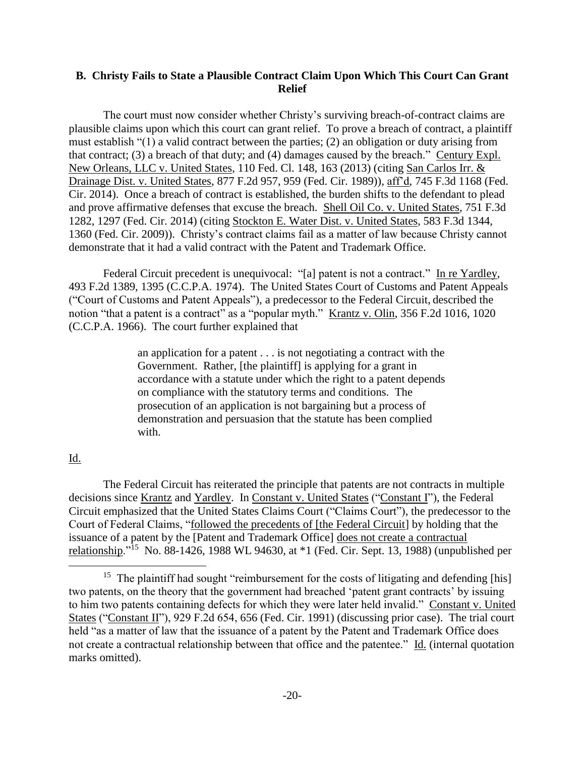# **B. Christy Fails to State a Plausible Contract Claim Upon Which This Court Can Grant Relief**

The court must now consider whether Christy's surviving breach-of-contract claims are plausible claims upon which this court can grant relief. To prove a breach of contract, a plaintiff must establish "(1) a valid contract between the parties; (2) an obligation or duty arising from that contract; (3) a breach of that duty; and (4) damages caused by the breach." Century Expl. New Orleans, LLC v. United States, 110 Fed. Cl. 148, 163 (2013) (citing San Carlos Irr. & Drainage Dist. v. United States, 877 F.2d 957, 959 (Fed. Cir. 1989)), aff'd, 745 F.3d 1168 (Fed. Cir. 2014). Once a breach of contract is established, the burden shifts to the defendant to plead and prove affirmative defenses that excuse the breach. Shell Oil Co. v. United States, 751 F.3d 1282, 1297 (Fed. Cir. 2014) (citing Stockton E. Water Dist. v. United States, 583 F.3d 1344, 1360 (Fed. Cir. 2009)). Christy's contract claims fail as a matter of law because Christy cannot demonstrate that it had a valid contract with the Patent and Trademark Office.

Federal Circuit precedent is unequivocal: "[a] patent is not a contract." In re Yardley, 493 F.2d 1389, 1395 (C.C.P.A. 1974). The United States Court of Customs and Patent Appeals ("Court of Customs and Patent Appeals"), a predecessor to the Federal Circuit, described the notion "that a patent is a contract" as a "popular myth." Krantz v. Olin, 356 F.2d 1016, 1020 (C.C.P.A. 1966). The court further explained that

> an application for a patent . . . is not negotiating a contract with the Government. Rather, [the plaintiff] is applying for a grant in accordance with a statute under which the right to a patent depends on compliance with the statutory terms and conditions. The prosecution of an application is not bargaining but a process of demonstration and persuasion that the statute has been complied with.

## Id.

 $\overline{a}$ 

The Federal Circuit has reiterated the principle that patents are not contracts in multiple decisions since Krantz and Yardley. In Constant v. United States ("Constant I"), the Federal Circuit emphasized that the United States Claims Court ("Claims Court"), the predecessor to the Court of Federal Claims, "followed the precedents of [the Federal Circuit] by holding that the issuance of a patent by the [Patent and Trademark Office] does not create a contractual relationship."<sup>15</sup> No. 88-1426, 1988 WL 94630, at \*1 (Fed. Cir. Sept. 13, 1988) (unpublished per

<sup>&</sup>lt;sup>15</sup> The plaintiff had sought "reimbursement for the costs of litigating and defending [his] two patents, on the theory that the government had breached 'patent grant contracts' by issuing to him two patents containing defects for which they were later held invalid." Constant v. United States ("Constant II"), 929 F.2d 654, 656 (Fed. Cir. 1991) (discussing prior case). The trial court held "as a matter of law that the issuance of a patent by the Patent and Trademark Office does not create a contractual relationship between that office and the patentee." Id. (internal quotation marks omitted).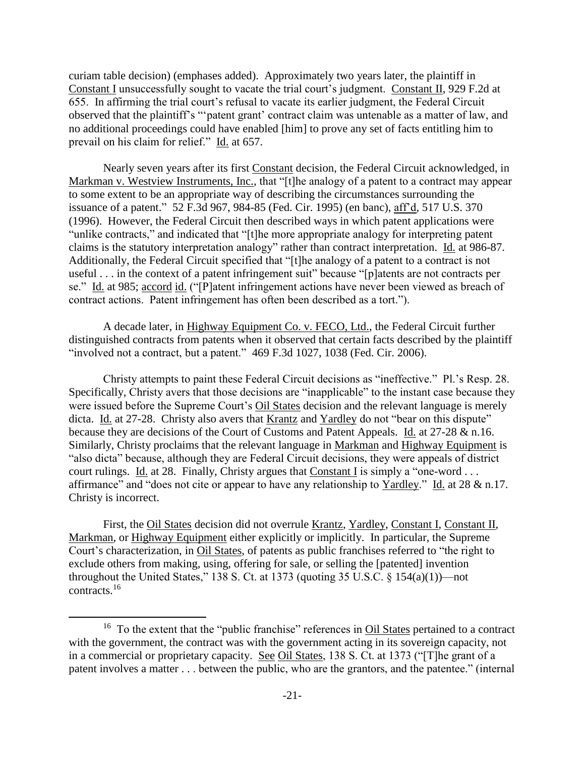curiam table decision) (emphases added). Approximately two years later, the plaintiff in Constant I unsuccessfully sought to vacate the trial court's judgment. Constant II, 929 F.2d at 655. In affirming the trial court's refusal to vacate its earlier judgment, the Federal Circuit observed that the plaintiff's "'patent grant' contract claim was untenable as a matter of law, and no additional proceedings could have enabled [him] to prove any set of facts entitling him to prevail on his claim for relief." Id. at 657.

Nearly seven years after its first Constant decision, the Federal Circuit acknowledged, in Markman v. Westview Instruments, Inc., that "[t]he analogy of a patent to a contract may appear to some extent to be an appropriate way of describing the circumstances surrounding the issuance of a patent." 52 F.3d 967, 984-85 (Fed. Cir. 1995) (en banc), aff'd, 517 U.S. 370 (1996). However, the Federal Circuit then described ways in which patent applications were "unlike contracts," and indicated that "[t]he more appropriate analogy for interpreting patent claims is the statutory interpretation analogy" rather than contract interpretation. Id. at 986-87. Additionally, the Federal Circuit specified that "[t]he analogy of a patent to a contract is not useful . . . in the context of a patent infringement suit" because "[p]atents are not contracts per se." Id. at 985; accord id. ("[P]atent infringement actions have never been viewed as breach of contract actions. Patent infringement has often been described as a tort.").

A decade later, in Highway Equipment Co. v. FECO, Ltd., the Federal Circuit further distinguished contracts from patents when it observed that certain facts described by the plaintiff "involved not a contract, but a patent." 469 F.3d 1027, 1038 (Fed. Cir. 2006).

Christy attempts to paint these Federal Circuit decisions as "ineffective." Pl.'s Resp. 28. Specifically, Christy avers that those decisions are "inapplicable" to the instant case because they were issued before the Supreme Court's Oil States decision and the relevant language is merely dicta. Id. at 27-28. Christy also avers that Krantz and Yardley do not "bear on this dispute" because they are decisions of the Court of Customs and Patent Appeals. Id. at 27-28 & n.16. Similarly, Christy proclaims that the relevant language in Markman and Highway Equipment is "also dicta" because, although they are Federal Circuit decisions, they were appeals of district court rulings. Id. at 28. Finally, Christy argues that Constant I is simply a "one-word . . . affirmance" and "does not cite or appear to have any relationship to Yardley." Id. at 28 & n.17. Christy is incorrect.

First, the Oil States decision did not overrule Krantz, Yardley, Constant I, Constant II, Markman, or Highway Equipment either explicitly or implicitly. In particular, the Supreme Court's characterization, in Oil States, of patents as public franchises referred to "the right to exclude others from making, using, offering for sale, or selling the [patented] invention throughout the United States," 138 S. Ct. at 1373 (quoting 35 U.S.C.  $\S$  154(a)(1))—not contracts.<sup>16</sup>

<sup>&</sup>lt;sup>16</sup> To the extent that the "public franchise" references in **Oil States** pertained to a contract with the government, the contract was with the government acting in its sovereign capacity, not in a commercial or proprietary capacity. See Oil States, 138 S. Ct. at 1373 ("[T]he grant of a patent involves a matter . . . between the public, who are the grantors, and the patentee." (internal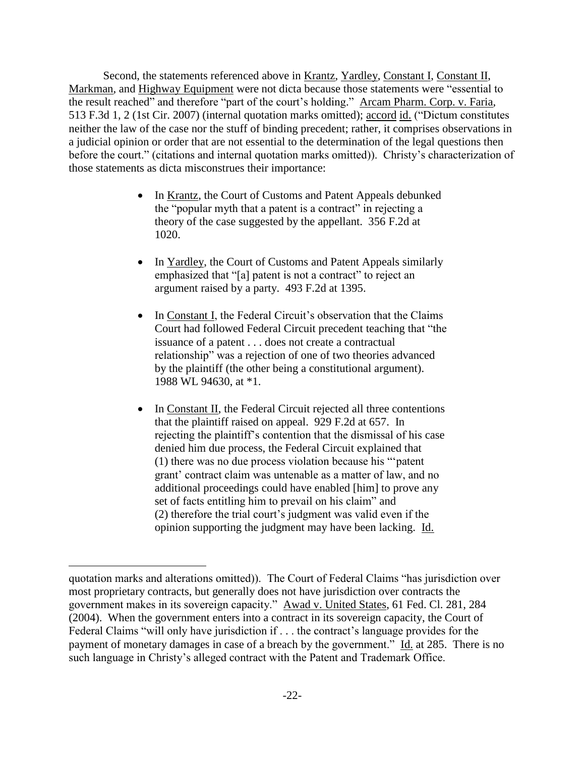Second, the statements referenced above in Krantz, Yardley, Constant I, Constant II, Markman, and Highway Equipment were not dicta because those statements were "essential to the result reached" and therefore "part of the court's holding." Arcam Pharm. Corp. v. Faria, 513 F.3d 1, 2 (1st Cir. 2007) (internal quotation marks omitted); accord id. ("Dictum constitutes neither the law of the case nor the stuff of binding precedent; rather, it comprises observations in a judicial opinion or order that are not essential to the determination of the legal questions then before the court." (citations and internal quotation marks omitted)). Christy's characterization of those statements as dicta misconstrues their importance:

- In Krantz, the Court of Customs and Patent Appeals debunked the "popular myth that a patent is a contract" in rejecting a theory of the case suggested by the appellant. 356 F.2d at 1020.
- In Yardley, the Court of Customs and Patent Appeals similarly emphasized that "[a] patent is not a contract" to reject an argument raised by a party. 493 F.2d at 1395.
- In Constant I, the Federal Circuit's observation that the Claims Court had followed Federal Circuit precedent teaching that "the issuance of a patent . . . does not create a contractual relationship" was a rejection of one of two theories advanced by the plaintiff (the other being a constitutional argument). 1988 WL 94630, at \*1.
- In Constant II, the Federal Circuit rejected all three contentions that the plaintiff raised on appeal. 929 F.2d at 657. In rejecting the plaintiff's contention that the dismissal of his case denied him due process, the Federal Circuit explained that (1) there was no due process violation because his "'patent grant' contract claim was untenable as a matter of law, and no additional proceedings could have enabled [him] to prove any set of facts entitling him to prevail on his claim" and (2) therefore the trial court's judgment was valid even if the opinion supporting the judgment may have been lacking. Id.

quotation marks and alterations omitted)). The Court of Federal Claims "has jurisdiction over most proprietary contracts, but generally does not have jurisdiction over contracts the government makes in its sovereign capacity." Awad v. United States, 61 Fed. Cl. 281, 284 (2004). When the government enters into a contract in its sovereign capacity, the Court of Federal Claims "will only have jurisdiction if . . . the contract's language provides for the payment of monetary damages in case of a breach by the government." Id. at 285. There is no such language in Christy's alleged contract with the Patent and Trademark Office.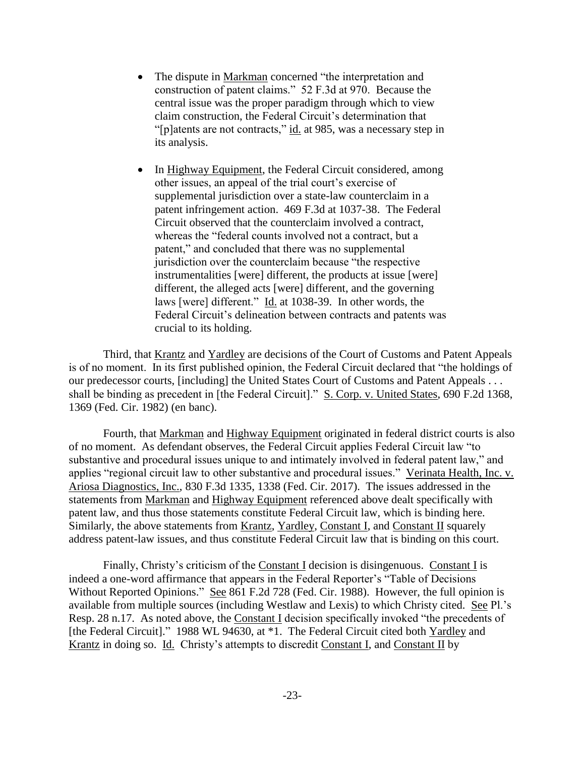- The dispute in Markman concerned "the interpretation and construction of patent claims." 52 F.3d at 970. Because the central issue was the proper paradigm through which to view claim construction, the Federal Circuit's determination that "[p]atents are not contracts," id. at 985, was a necessary step in its analysis.
- In Highway Equipment, the Federal Circuit considered, among other issues, an appeal of the trial court's exercise of supplemental jurisdiction over a state-law counterclaim in a patent infringement action. 469 F.3d at 1037-38. The Federal Circuit observed that the counterclaim involved a contract, whereas the "federal counts involved not a contract, but a patent," and concluded that there was no supplemental jurisdiction over the counterclaim because "the respective instrumentalities [were] different, the products at issue [were] different, the alleged acts [were] different, and the governing laws [were] different." Id. at 1038-39. In other words, the Federal Circuit's delineation between contracts and patents was crucial to its holding.

Third, that Krantz and Yardley are decisions of the Court of Customs and Patent Appeals is of no moment. In its first published opinion, the Federal Circuit declared that "the holdings of our predecessor courts, [including] the United States Court of Customs and Patent Appeals . . . shall be binding as precedent in [the Federal Circuit]." S. Corp. v. United States, 690 F.2d 1368, 1369 (Fed. Cir. 1982) (en banc).

Fourth, that Markman and Highway Equipment originated in federal district courts is also of no moment. As defendant observes, the Federal Circuit applies Federal Circuit law "to substantive and procedural issues unique to and intimately involved in federal patent law," and applies "regional circuit law to other substantive and procedural issues." Verinata Health, Inc. v. Ariosa Diagnostics, Inc., 830 F.3d 1335, 1338 (Fed. Cir. 2017). The issues addressed in the statements from Markman and Highway Equipment referenced above dealt specifically with patent law, and thus those statements constitute Federal Circuit law, which is binding here. Similarly, the above statements from Krantz, Yardley, Constant I, and Constant II squarely address patent-law issues, and thus constitute Federal Circuit law that is binding on this court.

Finally, Christy's criticism of the Constant I decision is disingenuous. Constant I is indeed a one-word affirmance that appears in the Federal Reporter's "Table of Decisions Without Reported Opinions." See 861 F.2d 728 (Fed. Cir. 1988). However, the full opinion is available from multiple sources (including Westlaw and Lexis) to which Christy cited. See Pl.'s Resp. 28 n.17. As noted above, the Constant I decision specifically invoked "the precedents of [the Federal Circuit]." 1988 WL 94630, at \*1. The Federal Circuit cited both Yardley and Krantz in doing so. Id. Christy's attempts to discredit Constant I, and Constant II by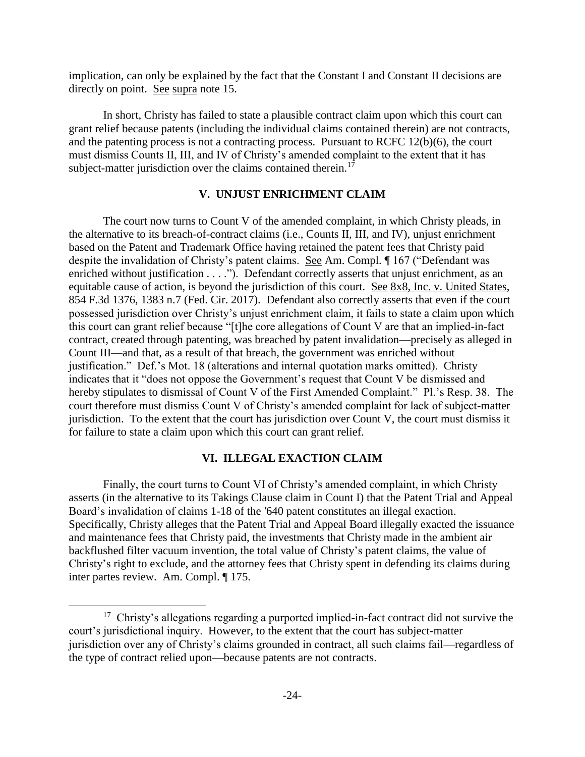implication, can only be explained by the fact that the Constant I and Constant II decisions are directly on point. See supra note 15.

In short, Christy has failed to state a plausible contract claim upon which this court can grant relief because patents (including the individual claims contained therein) are not contracts, and the patenting process is not a contracting process. Pursuant to RCFC 12(b)(6), the court must dismiss Counts II, III, and IV of Christy's amended complaint to the extent that it has subject-matter jurisdiction over the claims contained therein.<sup>17</sup>

### **V. UNJUST ENRICHMENT CLAIM**

The court now turns to Count V of the amended complaint, in which Christy pleads, in the alternative to its breach-of-contract claims (i.e., Counts II, III, and IV), unjust enrichment based on the Patent and Trademark Office having retained the patent fees that Christy paid despite the invalidation of Christy's patent claims. See Am. Compl. ¶ 167 ("Defendant was enriched without justification . . . ."). Defendant correctly asserts that unjust enrichment, as an equitable cause of action, is beyond the jurisdiction of this court. See 8x8, Inc. v. United States, 854 F.3d 1376, 1383 n.7 (Fed. Cir. 2017). Defendant also correctly asserts that even if the court possessed jurisdiction over Christy's unjust enrichment claim, it fails to state a claim upon which this court can grant relief because "[t]he core allegations of Count V are that an implied-in-fact contract, created through patenting, was breached by patent invalidation—precisely as alleged in Count III—and that, as a result of that breach, the government was enriched without justification." Def.'s Mot. 18 (alterations and internal quotation marks omitted). Christy indicates that it "does not oppose the Government's request that Count V be dismissed and hereby stipulates to dismissal of Count V of the First Amended Complaint." Pl.'s Resp. 38. The court therefore must dismiss Count V of Christy's amended complaint for lack of subject-matter jurisdiction. To the extent that the court has jurisdiction over Count V, the court must dismiss it for failure to state a claim upon which this court can grant relief.

## **VI. ILLEGAL EXACTION CLAIM**

Finally, the court turns to Count VI of Christy's amended complaint, in which Christy asserts (in the alternative to its Takings Clause claim in Count I) that the Patent Trial and Appeal Board's invalidation of claims 1-18 of the ′640 patent constitutes an illegal exaction. Specifically, Christy alleges that the Patent Trial and Appeal Board illegally exacted the issuance and maintenance fees that Christy paid, the investments that Christy made in the ambient air backflushed filter vacuum invention, the total value of Christy's patent claims, the value of Christy's right to exclude, and the attorney fees that Christy spent in defending its claims during inter partes review. Am. Compl. ¶ 175.

<sup>&</sup>lt;sup>17</sup> Christy's allegations regarding a purported implied-in-fact contract did not survive the court's jurisdictional inquiry. However, to the extent that the court has subject-matter jurisdiction over any of Christy's claims grounded in contract, all such claims fail—regardless of the type of contract relied upon—because patents are not contracts.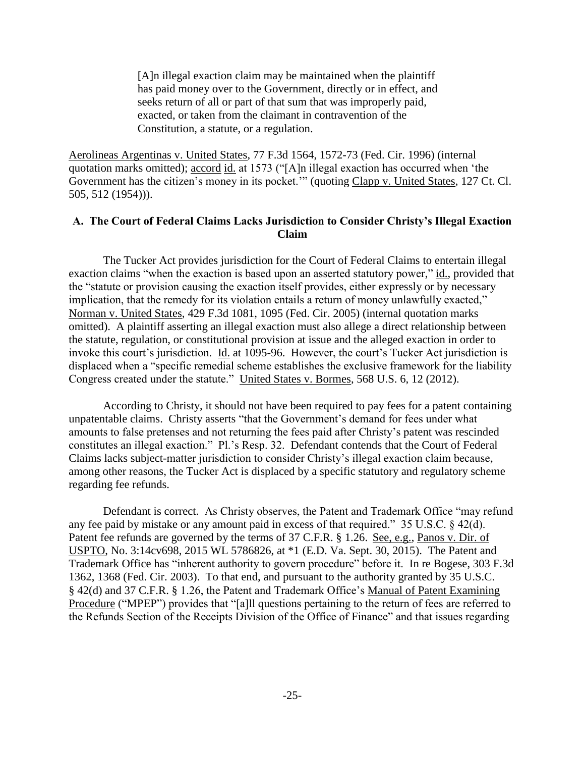[A]n illegal exaction claim may be maintained when the plaintiff has paid money over to the Government, directly or in effect, and seeks return of all or part of that sum that was improperly paid, exacted, or taken from the claimant in contravention of the Constitution, a statute, or a regulation.

Aerolineas Argentinas v. United States, 77 F.3d 1564, 1572-73 (Fed. Cir. 1996) (internal quotation marks omitted); accord id. at 1573 ("[A]n illegal exaction has occurred when 'the Government has the citizen's money in its pocket."" (quoting Clapp v. United States, 127 Ct. Cl. 505, 512 (1954))).

# **A. The Court of Federal Claims Lacks Jurisdiction to Consider Christy's Illegal Exaction Claim**

The Tucker Act provides jurisdiction for the Court of Federal Claims to entertain illegal exaction claims "when the exaction is based upon an asserted statutory power," id., provided that the "statute or provision causing the exaction itself provides, either expressly or by necessary implication, that the remedy for its violation entails a return of money unlawfully exacted," Norman v. United States, 429 F.3d 1081, 1095 (Fed. Cir. 2005) (internal quotation marks omitted). A plaintiff asserting an illegal exaction must also allege a direct relationship between the statute, regulation, or constitutional provision at issue and the alleged exaction in order to invoke this court's jurisdiction. Id. at 1095-96. However, the court's Tucker Act jurisdiction is displaced when a "specific remedial scheme establishes the exclusive framework for the liability Congress created under the statute." United States v. Bormes, 568 U.S. 6, 12 (2012).

According to Christy, it should not have been required to pay fees for a patent containing unpatentable claims. Christy asserts "that the Government's demand for fees under what amounts to false pretenses and not returning the fees paid after Christy's patent was rescinded constitutes an illegal exaction." Pl.'s Resp. 32. Defendant contends that the Court of Federal Claims lacks subject-matter jurisdiction to consider Christy's illegal exaction claim because, among other reasons, the Tucker Act is displaced by a specific statutory and regulatory scheme regarding fee refunds.

Defendant is correct. As Christy observes, the Patent and Trademark Office "may refund any fee paid by mistake or any amount paid in excess of that required." 35 U.S.C. § 42(d). Patent fee refunds are governed by the terms of 37 C.F.R. § 1.26. See, e.g., Panos v. Dir. of USPTO, No. 3:14cv698, 2015 WL 5786826, at \*1 (E.D. Va. Sept. 30, 2015). The Patent and Trademark Office has "inherent authority to govern procedure" before it. In re Bogese, 303 F.3d 1362, 1368 (Fed. Cir. 2003). To that end, and pursuant to the authority granted by 35 U.S.C. § 42(d) and 37 C.F.R. § 1.26, the Patent and Trademark Office's Manual of Patent Examining Procedure ("MPEP") provides that "[a]ll questions pertaining to the return of fees are referred to the Refunds Section of the Receipts Division of the Office of Finance" and that issues regarding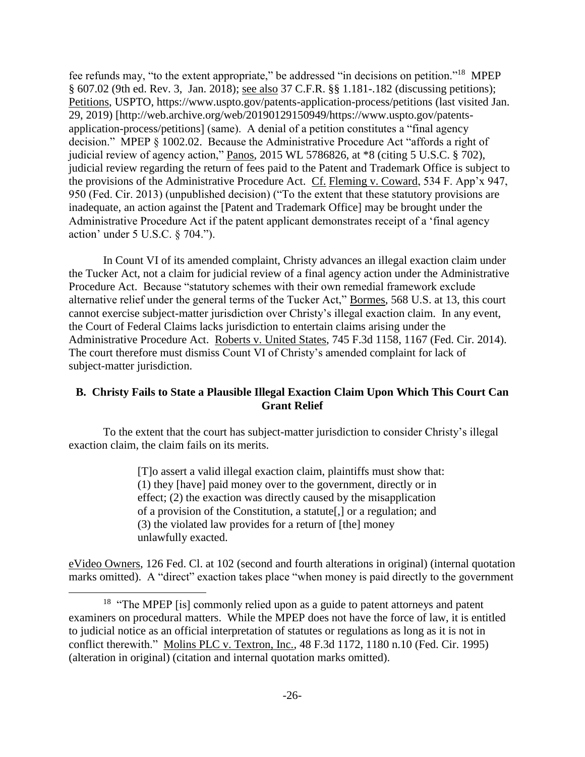fee refunds may, "to the extent appropriate," be addressed "in decisions on petition."<sup>18</sup> MPEP § 607.02 (9th ed. Rev. 3, Jan. 2018); see also 37 C.F.R. §§ 1.181-.182 (discussing petitions); Petitions, USPTO, https://www.uspto.gov/patents-application-process/petitions (last visited Jan. 29, 2019) [http://web.archive.org/web/20190129150949/https://www.uspto.gov/patentsapplication-process/petitions] (same). A denial of a petition constitutes a "final agency decision." MPEP § 1002.02. Because the Administrative Procedure Act "affords a right of judicial review of agency action," Panos, 2015 WL 5786826, at \*8 (citing 5 U.S.C. § 702), judicial review regarding the return of fees paid to the Patent and Trademark Office is subject to the provisions of the Administrative Procedure Act. Cf. Fleming v. Coward, 534 F. App'x 947, 950 (Fed. Cir. 2013) (unpublished decision) ("To the extent that these statutory provisions are inadequate, an action against the [Patent and Trademark Office] may be brought under the Administrative Procedure Act if the patent applicant demonstrates receipt of a 'final agency action' under 5 U.S.C. § 704.").

In Count VI of its amended complaint, Christy advances an illegal exaction claim under the Tucker Act, not a claim for judicial review of a final agency action under the Administrative Procedure Act. Because "statutory schemes with their own remedial framework exclude alternative relief under the general terms of the Tucker Act," Bormes, 568 U.S. at 13, this court cannot exercise subject-matter jurisdiction over Christy's illegal exaction claim. In any event, the Court of Federal Claims lacks jurisdiction to entertain claims arising under the Administrative Procedure Act. Roberts v. United States, 745 F.3d 1158, 1167 (Fed. Cir. 2014). The court therefore must dismiss Count VI of Christy's amended complaint for lack of subject-matter jurisdiction.

# **B. Christy Fails to State a Plausible Illegal Exaction Claim Upon Which This Court Can Grant Relief**

To the extent that the court has subject-matter jurisdiction to consider Christy's illegal exaction claim, the claim fails on its merits.

> [T]o assert a valid illegal exaction claim, plaintiffs must show that: (1) they [have] paid money over to the government, directly or in effect; (2) the exaction was directly caused by the misapplication of a provision of the Constitution, a statute[,] or a regulation; and (3) the violated law provides for a return of [the] money unlawfully exacted.

eVideo Owners, 126 Fed. Cl. at 102 (second and fourth alterations in original) (internal quotation marks omitted). A "direct" exaction takes place "when money is paid directly to the government

<sup>&</sup>lt;sup>18</sup> "The MPEP [is] commonly relied upon as a guide to patent attorneys and patent examiners on procedural matters. While the MPEP does not have the force of law, it is entitled to judicial notice as an official interpretation of statutes or regulations as long as it is not in conflict therewith." Molins PLC v. Textron, Inc., 48 F.3d 1172, 1180 n.10 (Fed. Cir. 1995) (alteration in original) (citation and internal quotation marks omitted).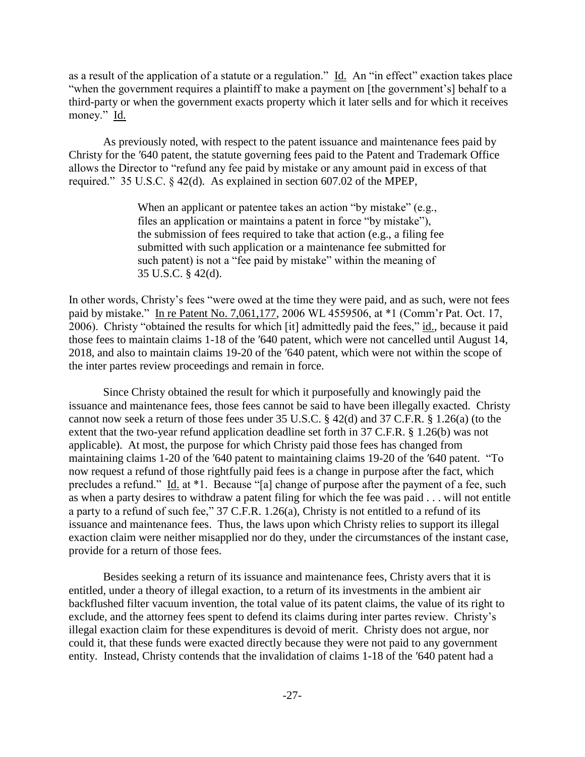as a result of the application of a statute or a regulation." Id. An "in effect" exaction takes place "when the government requires a plaintiff to make a payment on [the government's] behalf to a third-party or when the government exacts property which it later sells and for which it receives money." Id.

As previously noted, with respect to the patent issuance and maintenance fees paid by Christy for the ′640 patent, the statute governing fees paid to the Patent and Trademark Office allows the Director to "refund any fee paid by mistake or any amount paid in excess of that required." 35 U.S.C. § 42(d). As explained in section 607.02 of the MPEP,

> When an applicant or patentee takes an action "by mistake" (e.g., files an application or maintains a patent in force "by mistake"), the submission of fees required to take that action (e.g., a filing fee submitted with such application or a maintenance fee submitted for such patent) is not a "fee paid by mistake" within the meaning of 35 U.S.C. § 42(d).

In other words, Christy's fees "were owed at the time they were paid, and as such, were not fees paid by mistake." In re Patent No. 7,061,177, 2006 WL 4559506, at \*1 (Comm'r Pat. Oct. 17, 2006). Christy "obtained the results for which [it] admittedly paid the fees," id., because it paid those fees to maintain claims 1-18 of the ′640 patent, which were not cancelled until August 14, 2018, and also to maintain claims 19-20 of the ′640 patent, which were not within the scope of the inter partes review proceedings and remain in force.

Since Christy obtained the result for which it purposefully and knowingly paid the issuance and maintenance fees, those fees cannot be said to have been illegally exacted. Christy cannot now seek a return of those fees under 35 U.S.C. § 42(d) and 37 C.F.R. § 1.26(a) (to the extent that the two-year refund application deadline set forth in 37 C.F.R. § 1.26(b) was not applicable). At most, the purpose for which Christy paid those fees has changed from maintaining claims 1-20 of the ′640 patent to maintaining claims 19-20 of the ′640 patent. "To now request a refund of those rightfully paid fees is a change in purpose after the fact, which precludes a refund." Id. at \*1. Because "[a] change of purpose after the payment of a fee, such as when a party desires to withdraw a patent filing for which the fee was paid . . . will not entitle a party to a refund of such fee," 37 C.F.R. 1.26(a), Christy is not entitled to a refund of its issuance and maintenance fees. Thus, the laws upon which Christy relies to support its illegal exaction claim were neither misapplied nor do they, under the circumstances of the instant case, provide for a return of those fees.

Besides seeking a return of its issuance and maintenance fees, Christy avers that it is entitled, under a theory of illegal exaction, to a return of its investments in the ambient air backflushed filter vacuum invention, the total value of its patent claims, the value of its right to exclude, and the attorney fees spent to defend its claims during inter partes review. Christy's illegal exaction claim for these expenditures is devoid of merit. Christy does not argue, nor could it, that these funds were exacted directly because they were not paid to any government entity. Instead, Christy contends that the invalidation of claims 1-18 of the ′640 patent had a